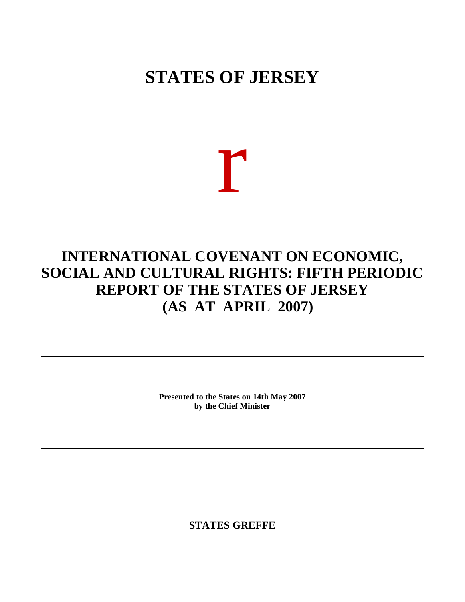# **STATES OF JERSEY**

r

# **INTERNATIONAL COVENANT ON ECONOMIC, SOCIAL AND CULTURAL RIGHTS: FIFTH PERIODIC REPORT OF THE STATES OF JERSEY (AS AT APRIL 2007)**

**Presented to the States on 14th May 2007 by the Chief Minister**

**STATES GREFFE**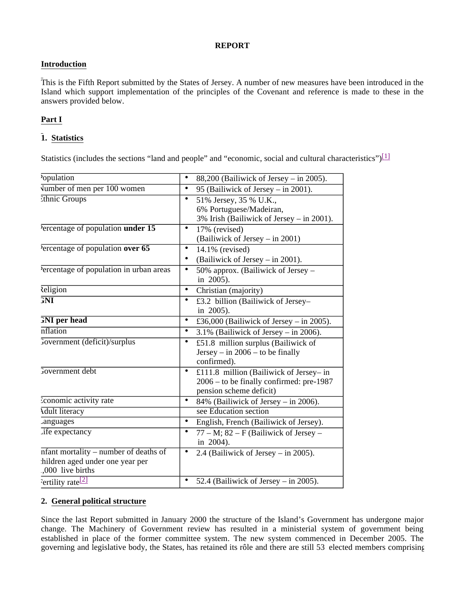# **REPORT**

# **Introduction**

This is the Fifth Report submitted by the States of Jersey. A number of new measures have been introduced in the Island which support implementation of the principles of the Covenant and reference is made to these in the answers provided below.

# **Part I**

# **1. Statistics**

Statistics (includes the sections "land and people" and "economic, social and cultural characteristics") $\boxed{1}$ 

| <i>opulation</i>                                                                             | 88,200 (Bailiwick of Jersey – in 2005).                                                                             |
|----------------------------------------------------------------------------------------------|---------------------------------------------------------------------------------------------------------------------|
| Vumber of men per 100 women                                                                  | 95 (Bailiwick of Jersey - in 2001).<br>$\bullet$                                                                    |
| thnic Groups                                                                                 | 51% Jersey, 35 % U.K.,<br>$\bullet$<br>6% Portuguese/Madeiran,<br>3% Irish (Bailiwick of Jersey – in 2001).         |
| Percentage of population under 15                                                            | 17% (revised)<br>$\bullet$<br>(Bailiwick of Jersey – in 2001)                                                       |
| Percentage of population over 65                                                             | 14.1% (revised)<br>٠<br>(Bailiwick of Jersey - in 2001).<br>٠                                                       |
| Percentage of population in urban areas                                                      | 50% approx. (Bailiwick of Jersey –<br>$\bullet$<br>in 2005).                                                        |
| <b>Religion</b>                                                                              | $\bullet$<br>Christian (majority)                                                                                   |
| <b>FNI</b>                                                                                   | £3.2 billion (Bailiwick of Jersey-<br>$\bullet$<br>in 2005).                                                        |
| <b>FNI</b> per head                                                                          | £36,000 (Bailiwick of Jersey – in 2005).<br>$\bullet$                                                               |
| nflation                                                                                     | 3.1% (Bailiwick of Jersey – in 2006).<br>$\bullet$                                                                  |
| Jovernment (deficit)/surplus                                                                 | £51.8 million surplus (Bailiwick of<br>٠<br>Jersey – in $2006$ – to be finally<br>confirmed).                       |
| Jovernment debt                                                                              | £111.8 million (Bailiwick of Jersey- in<br>٠<br>2006 – to be finally confirmed: pre-1987<br>pension scheme deficit) |
| conomic activity rate                                                                        | 84% (Bailiwick of Jersey – in 2006).<br>$\bullet$                                                                   |
| <b>Adult literacy</b>                                                                        | see Education section                                                                                               |
| anguages                                                                                     | English, French (Bailiwick of Jersey).<br>$\bullet$                                                                 |
| <i>i</i> fe expectancy                                                                       | $77 - M$ ; 82 – F (Bailiwick of Jersey –<br>$\bullet$<br>in 2004).                                                  |
| nfant mortality – number of deaths of<br>hildren aged under one year per<br>,000 live births | 2.4 (Bailiwick of Jersey – in 2005).<br>$\bullet$                                                                   |
| <sup>3</sup> ertility rate <sup>[2]</sup>                                                    | 52.4 (Bailiwick of Jersey $-$ in 2005).                                                                             |

# **2. General political structure**

Since the last Report submitted in January 2000 the structure of the Island's Government has undergone major change. The Machinery of Government review has resulted in a ministerial system of government being established in place of the former committee system. The new system commenced in December 2005. The governing and legislative body, the States, has retained its rôle and there are still 53 elected members comprising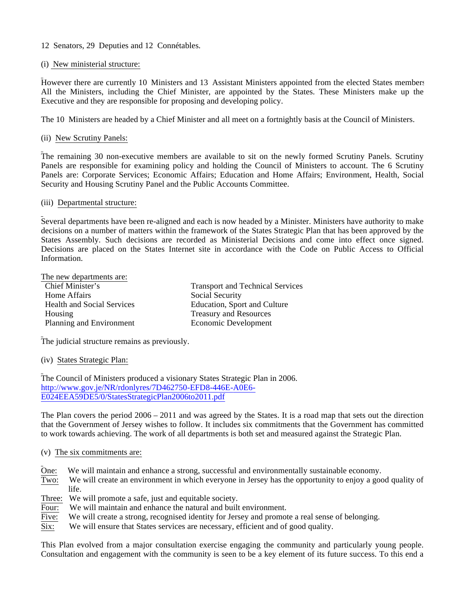- 12 Senators, 29 Deputies and 12 Connétables.
- (i) New ministerial structure:

However there are currently 10 Ministers and 13 Assistant Ministers appointed from the elected States members. All the Ministers, including the Chief Minister, are appointed by the States. These Ministers make up the Executive and they are responsible for proposing and developing policy.

The 10 Ministers are headed by a Chief Minister and all meet on a fortnightly basis at the Council of Ministers.

(ii) New Scrutiny Panels:

The remaining 30 non-executive members are available to sit on the newly formed Scrutiny Panels. Scrutiny Panels are responsible for examining policy and holding the Council of Ministers to account. The 6 Scrutiny Panels are: Corporate Services; Economic Affairs; Education and Home Affairs; Environment, Health, Social Security and Housing Scrutiny Panel and the Public Accounts Committee.

# (iii) Departmental structure:

Several departments have been re-aligned and each is now headed by a Minister. Ministers have authority to make decisions on a number of matters within the framework of the States Strategic Plan that has been approved by the States Assembly. Such decisions are recorded as Ministerial Decisions and come into effect once signed. Decisions are placed on the States Internet site in accordance with the Code on Public Access to Official Information.

The new departments are:

| <b>Transport and Technical Services</b> |
|-----------------------------------------|
| Social Security                         |
| Education, Sport and Culture            |
| <b>Treasury and Resources</b>           |
| Economic Development                    |
|                                         |

The judicial structure remains as previously.

(iv) States Strategic Plan:

The Council of Ministers produced a visionary States Strategic Plan in 2006. <http://www.gov.je/NR/rdonlyres/7D462750-EFD8-446E-A0E6-> E024EEA59DE5/0/StatesStrategicPlan2006to2011.pdf

The Plan covers the period 2006 – 2011 and was agreed by the States. It is a road map that sets out the direction that the Government of Jersey wishes to follow. It includes six commitments that the Government has committed to work towards achieving. The work of all departments is both set and measured against the Strategic Plan.

# (v) The six commitments are:

- One: We will maintain and enhance a strong, successful and environmentally sustainable economy.
- Two: We will create an environment in which everyone in Jersey has the opportunity to enjoy a good quality of life.
- Three: We will promote a safe, just and equitable society.
- Four: We will maintain and enhance the natural and built environment.
- Five: We will create a strong, recognised identity for Jersey and promote a real sense of belonging.
- Six: We will ensure that States services are necessary, efficient and of good quality.

This Plan evolved from a major consultation exercise engaging the community and particularly young people. Consultation and engagement with the community is seen to be a key element of its future success. To this end a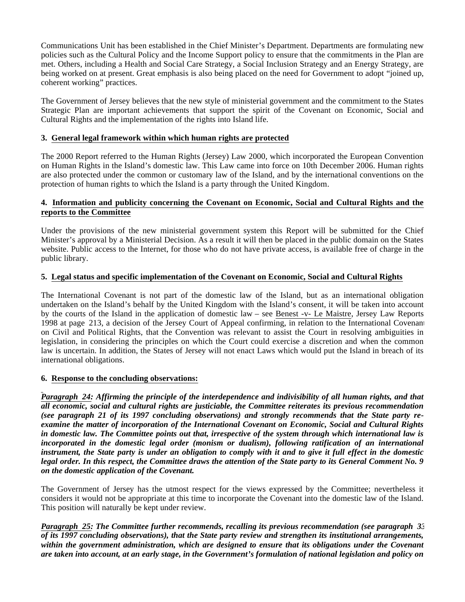Communications Unit has been established in the Chief Minister's Department. Departments are formulating new policies such as the Cultural Policy and the Income Support policy to ensure that the commitments in the Plan are met. Others, including a Health and Social Care Strategy, a Social Inclusion Strategy and an Energy Strategy, are being worked on at present. Great emphasis is also being placed on the need for Government to adopt "joined up, coherent working" practices.

The Government of Jersey believes that the new style of ministerial government and the commitment to the States Strategic Plan are important achievements that support the spirit of the Covenant on Economic, Social and Cultural Rights and the implementation of the rights into Island life.

# **3. General legal framework within which human rights are protected**

The 2000 Report referred to the Human Rights (Jersey) Law 2000, which incorporated the European Convention on Human Rights in the Island's domestic law. This Law came into force on 10th December 2006. Human rights are also protected under the common or customary law of the Island, and by the international conventions on the protection of human rights to which the Island is a party through the United Kingdom.

# **4. Information and publicity concerning the Covenant on Economic, Social and Cultural Rights and the reports to the Committee**

Under the provisions of the new ministerial government system this Report will be submitted for the Chief Minister's approval by a Ministerial Decision. As a result it will then be placed in the public domain on the States website. Public access to the Internet, for those who do not have private access, is available free of charge in the public library.

# **5. Legal status and specific implementation of the Covenant on Economic, Social and Cultural Rights**

The International Covenant is not part of the domestic law of the Island, but as an international obligation undertaken on the Island's behalf by the United Kingdom with the Island's consent, it will be taken into account by the courts of the Island in the application of domestic law – see Benest -v- Le Maistre, Jersey Law Reports 1998 at page 213, a decision of the Jersey Court of Appeal confirming, in relation to the International Covenant on Civil and Political Rights, that the Convention was relevant to assist the Court in resolving ambiguities in legislation, in considering the principles on which the Court could exercise a discretion and when the common law is uncertain. In addition, the States of Jersey will not enact Laws which would put the Island in breach of its international obligations.

# **6. Response to the concluding observations:**

*Paragraph 24: Affirming the principle of the interdependence and indivisibility of all human rights, and that all economic, social and cultural rights are justiciable, the Committee reiterates its previous recommendation (see paragraph 21 of its 1997 concluding observations) and strongly recommends that the State party reexamine the matter of incorporation of the International Covenant on Economic, Social and Cultural Rights in domestic law. The Committee points out that, irrespective of the system through which international law is incorporated in the domestic legal order (monism or dualism), following ratification of an international instrument, the State party is under an obligation to comply with it and to give it full effect in the domestic legal order. In this respect, the Committee draws the attention of the State party to its General Comment No. 9 on the domestic application of the Covenant.*

The Government of Jersey has the utmost respect for the views expressed by the Committee; nevertheless it considers it would not be appropriate at this time to incorporate the Covenant into the domestic law of the Island. This position will naturally be kept under review.

*Paragraph 25: The Committee further recommends, recalling its previous recommendation (see paragraph 33 of its 1997 concluding observations), that the State party review and strengthen its institutional arrangements, within the government administration, which are designed to ensure that its obligations under the Covenant are taken into account, at an early stage, in the Government's formulation of national legislation and policy on*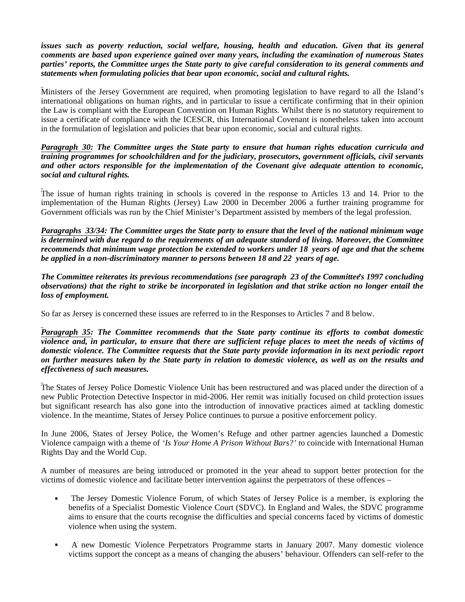*issues such as poverty reduction, social welfare, housing, health and education. Given that its general comments are based upon experience gained over many years, including the examination of numerous States parties' reports, the Committee urges the State party to give careful consideration to its general comments and statements when formulating policies that bear upon economic, social and cultural rights.*

Ministers of the Jersey Government are required, when promoting legislation to have regard to all the Island's international obligations on human rights, and in particular to issue a certificate confirming that in their opinion the Law is compliant with the European Convention on Human Rights. Whilst there is no statutory requirement to issue a certificate of compliance with the ICESCR, this International Covenant is nonetheless taken into account in the formulation of legislation and policies that bear upon economic, social and cultural rights.

*Paragraph 30: The Committee urges the State party to ensure that human rights education curricula and training programmes for schoolchildren and for the judiciary, prosecutors, government officials, civil servants and other actors responsible for the implementation of the Covenant give adequate attention to economic, social and cultural rights.*

The issue of human rights training in schools is covered in the response to Articles 13 and 14. Prior to the implementation of the Human Rights (Jersey) Law 2000 in December 2006 a further training programme for Government officials was run by the Chief Minister's Department assisted by members of the legal profession.

*Paragraphs 33/34: The Committee urges the State party to ensure that the level of the national minimum wage is determined with due regard to the requirements of an adequate standard of living. Moreover, the Committee recommends that minimum wage protection be extended to workers under 18 years of age and that the scheme be applied in a non-discriminatory manner to persons between 18 and 22 years of age.*

*The Committee reiterates its previous recommendations (see paragraph 23 of the Committee's 1997 concluding observations) that the right to strike be incorporated in legislation and that strike action no longer entail the loss of employment.*

So far as Jersey is concerned these issues are referred to in the Responses to Articles 7 and 8 below.

*Paragraph 35: The Committee recommends that the State party continue its efforts to combat domestic violence and, in particular, to ensure that there are sufficient refuge places to meet the needs of victims of domestic violence. The Committee requests that the State party provide information in its next periodic report on further measures taken by the State party in relation to domestic violence, as well as on the results and effectiveness of such measures.*

The States of Jersey Police Domestic Violence Unit has been restructured and was placed under the direction of a new Public Protection Detective Inspector in mid-2006. Her remit was initially focused on child protection issues but significant research has also gone into the introduction of innovative practices aimed at tackling domestic violence. In the meantime, States of Jersey Police continues to pursue a positive enforcement policy.

In June 2006, States of Jersey Police, the Women's Refuge and other partner agencies launched a Domestic Violence campaign with a theme of *'Is Your Home A Prison Without Bars?' t*o coincide with International Human Rights Day and the World Cup.

A number of measures are being introduced or promoted in the year ahead to support better protection for the victims of domestic violence and facilitate better intervention against the perpetrators of these offences –

- The Jersey Domestic Violence Forum, of which States of Jersey Police is a member, is exploring the benefits of a Specialist Domestic Violence Court (SDVC). In England and Wales, the SDVC programme aims to ensure that the courts recognise the difficulties and special concerns faced by victims of domestic violence when using the system.
- A new Domestic Violence Perpetrators Programme starts in January 2007. Many domestic violence victims support the concept as a means of changing the abusers' behaviour. Offenders can self-refer to the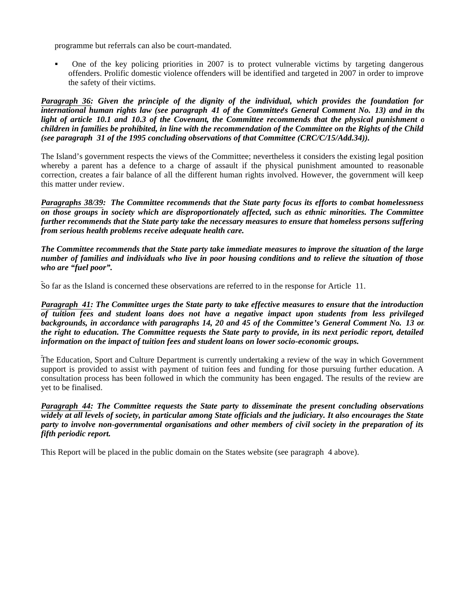programme but referrals can also be court-mandated.

 One of the key policing priorities in 2007 is to protect vulnerable victims by targeting dangerous offenders. Prolific domestic violence offenders will be identified and targeted in 2007 in order to improve the safety of their victims.

*Paragraph 36: Given the principle of the dignity of the individual, which provides the foundation for international human rights law (see paragraph 41 of the Committee's General Comment No. 13) and in the light of article 10.1 and 10.3 of the Covenant, the Committee recommends that the physical punishment of children in families be prohibited, in line with the recommendation of the Committee on the Rights of the Child (see paragraph 31 of the 1995 concluding observations of that Committee (CRC/C/15/Add.34)).*

The Island's government respects the views of the Committee; nevertheless it considers the existing legal position whereby a parent has a defence to a charge of assault if the physical punishment amounted to reasonable correction, creates a fair balance of all the different human rights involved. However, the government will keep this matter under review.

*Paragraphs 38/39: The Committee recommends that the State party focus its efforts to combat homelessness on those groups in society which are disproportionately affected, such as ethnic minorities. The Committee further recommends that the State party take the necessary measures to ensure that homeless persons suffering from serious health problems receive adequate health care.*

*The Committee recommends that the State party take immediate measures to improve the situation of the large number of families and individuals who live in poor housing conditions and to relieve the situation of those who are "fuel poor".*

So far as the Island is concerned these observations are referred to in the response for Article 11.

*Paragraph 41: The Committee urges the State party to take effective measures to ensure that the introduction of tuition fees and student loans does not have a negative impact upon students from less privileged backgrounds, in accordance with paragraphs 14, 20 and 45 of the Committee's General Comment No. 13 on the right to education. The Committee requests the State party to provide, in its next periodic report, detailed information on the impact of tuition fees and student loans on lower socio-economic groups.*

The Education, Sport and Culture Department is currently undertaking a review of the way in which Government support is provided to assist with payment of tuition fees and funding for those pursuing further education. A consultation process has been followed in which the community has been engaged. The results of the review are yet to be finalised.

*Paragraph 44: The Committee requests the State party to disseminate the present concluding observations widely at all levels of society, in particular among State officials and the judiciary. It also encourages the State party to involve non-governmental organisations and other members of civil society in the preparation of its fifth periodic report.*

This Report will be placed in the public domain on the States website (see paragraph 4 above).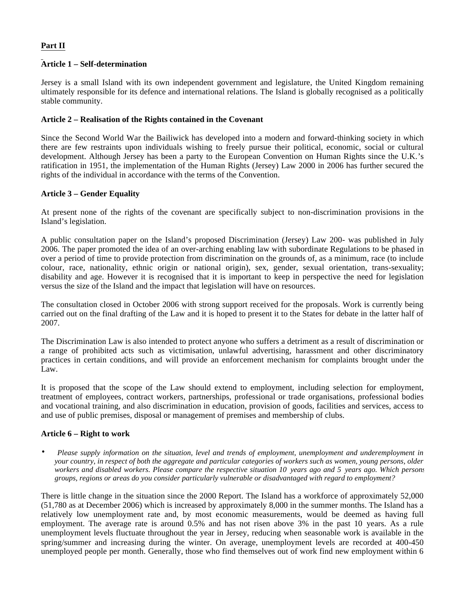# **Part II**

# **Article 1 – Self-determination**

Jersey is a small Island with its own independent government and legislature, the United Kingdom remaining ultimately responsible for its defence and international relations. The Island is globally recognised as a politically stable community.

## **Article 2 – Realisation of the Rights contained in the Covenant**

Since the Second World War the Bailiwick has developed into a modern and forward-thinking society in which there are few restraints upon individuals wishing to freely pursue their political, economic, social or cultural development. Although Jersey has been a party to the European Convention on Human Rights since the U.K.'s ratification in 1951, the implementation of the Human Rights (Jersey) Law 2000 in 2006 has further secured the rights of the individual in accordance with the terms of the Convention.

## **Article 3 – Gender Equality**

At present none of the rights of the covenant are specifically subject to non-discrimination provisions in the Island's legislation.

A public consultation paper on the Island's proposed Discrimination (Jersey) Law 200- was published in July 2006. The paper promoted the idea of an over-arching enabling law with subordinate Regulations to be phased in over a period of time to provide protection from discrimination on the grounds of, as a minimum, race (to include colour, race, nationality, ethnic origin or national origin), sex, gender, sexual orientation, trans-sexuality; disability and age. However it is recognised that it is important to keep in perspective the need for legislation versus the size of the Island and the impact that legislation will have on resources.

The consultation closed in October 2006 with strong support received for the proposals. Work is currently being carried out on the final drafting of the Law and it is hoped to present it to the States for debate in the latter half of 2007.

The Discrimination Law is also intended to protect anyone who suffers a detriment as a result of discrimination or a range of prohibited acts such as victimisation, unlawful advertising, harassment and other discriminatory practices in certain conditions, and will provide an enforcement mechanism for complaints brought under the Law.

It is proposed that the scope of the Law should extend to employment, including selection for employment, treatment of employees, contract workers, partnerships, professional or trade organisations, professional bodies and vocational training, and also discrimination in education, provision of goods, facilities and services, access to and use of public premises, disposal or management of premises and membership of clubs.

### **Article 6 – Right to work**

• *Please supply information on the situation, level and trends of employment, unemployment and underemployment in your country, in respect of both the aggregate and particular categories of workers such as women, young persons, older workers and disabled workers. Please compare the respective situation 10 years ago and 5 years ago. Which persons, groups, regions or areas do you consider particularly vulnerable or disadvantaged with regard to employment?*

There is little change in the situation since the 2000 Report. The Island has a workforce of approximately 52,000 (51,780 as at December 2006) which is increased by approximately 8,000 in the summer months. The Island has a relatively low unemployment rate and, by most economic measurements, would be deemed as having full employment. The average rate is around 0.5% and has not risen above 3% in the past 10 years. As a rule unemployment levels fluctuate throughout the year in Jersey, reducing when seasonable work is available in the spring/summer and increasing during the winter. On average, unemployment levels are recorded at 400-450 unemployed people per month. Generally, those who find themselves out of work find new employment within 6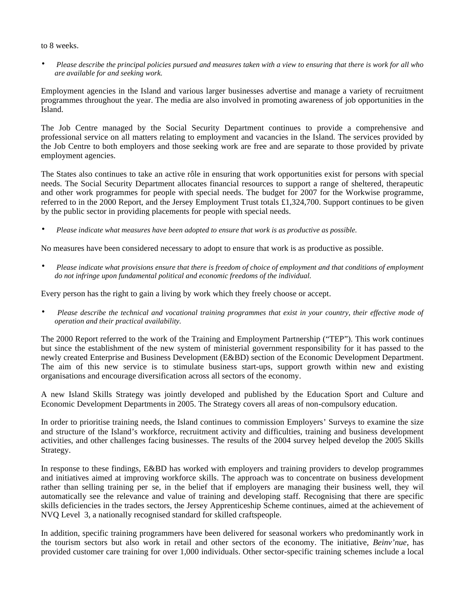### to 8 weeks.

• *Please describe the principal policies pursued and measures taken with a view to ensuring that there is work for all who are available for and seeking work.*

Employment agencies in the Island and various larger businesses advertise and manage a variety of recruitment programmes throughout the year. The media are also involved in promoting awareness of job opportunities in the Island.

The Job Centre managed by the Social Security Department continues to provide a comprehensive and professional service on all matters relating to employment and vacancies in the Island. The services provided by the Job Centre to both employers and those seeking work are free and are separate to those provided by private employment agencies.

The States also continues to take an active rôle in ensuring that work opportunities exist for persons with special needs. The Social Security Department allocates financial resources to support a range of sheltered, therapeutic and other work programmes for people with special needs. The budget for 2007 for the Workwise programme, referred to in the 2000 Report, and the Jersey Employment Trust totals £1,324,700. Support continues to be given by the public sector in providing placements for people with special needs.

• *Please indicate what measures have been adopted to ensure that work is as productive as possible.*

No measures have been considered necessary to adopt to ensure that work is as productive as possible.

• *Please indicate what provisions ensure that there is freedom of choice of employment and that conditions of employment do not infringe upon fundamental political and economic freedoms of the individual.*

Every person has the right to gain a living by work which they freely choose or accept.

• *Please describe the technical and vocational training programmes that exist in your country, their effective mode of operation and their practical availability.*

The 2000 Report referred to the work of the Training and Employment Partnership ("TEP"). This work continues but since the establishment of the new system of ministerial government responsibility for it has passed to the newly created Enterprise and Business Development (E&BD) section of the Economic Development Department. The aim of this new service is to stimulate business start-ups, support growth within new and existing organisations and encourage diversification across all sectors of the economy.

A new Island Skills Strategy was jointly developed and published by the Education Sport and Culture and Economic Development Departments in 2005. The Strategy covers all areas of non-compulsory education.

In order to prioritise training needs, the Island continues to commission Employers' Surveys to examine the size and structure of the Island's workforce, recruitment activity and difficulties, training and business development activities, and other challenges facing businesses. The results of the 2004 survey helped develop the 2005 Skills Strategy.

In response to these findings, E&BD has worked with employers and training providers to develop programmes and initiatives aimed at improving workforce skills. The approach was to concentrate on business development rather than selling training per se, in the belief that if employers are managing their business well, they will automatically see the relevance and value of training and developing staff. Recognising that there are specific skills deficiencies in the trades sectors, the Jersey Apprenticeship Scheme continues, aimed at the achievement of NVQ Level 3, a nationally recognised standard for skilled craftspeople.

In addition, specific training programmers have been delivered for seasonal workers who predominantly work in the tourism sectors but also work in retail and other sectors of the economy. The initiative, *Beinv'nue*, has provided customer care training for over 1,000 individuals. Other sector-specific training schemes include a local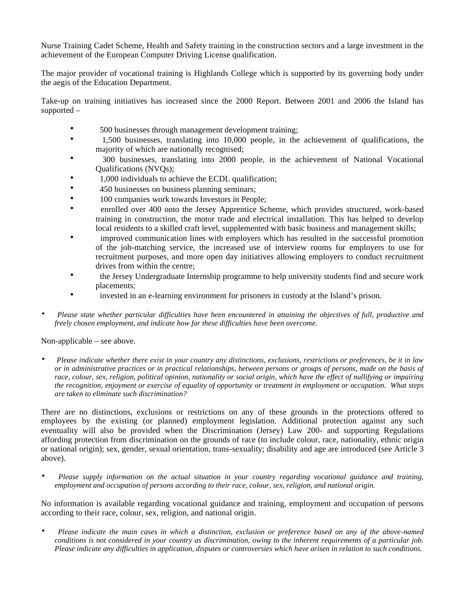Nurse Training Cadet Scheme, Health and Safety training in the construction sectors and a large investment in the achievement of the European Computer Driving License qualification.

The major provider of vocational training is Highlands College which is supported by its governing body under the aegis of the Education Department.

Take-up on training initiatives has increased since the 2000 Report. Between 2001 and 2006 the Island has supported –

- 500 businesses through management development training;
- 1,500 businesses, translating into 10,000 people, in the achievement of qualifications, the majority of which are nationally recognised;
- 300 businesses, translating into 2000 people, in the achievement of National Vocational Qualifications (NVQs);
- 1,000 individuals to achieve the ECDL qualification;
- 450 businesses on business planning seminars;
- 100 companies work towards Investors in People;
- enrolled over 400 onto the Jersey Apprentice Scheme, which provides structured, work-based training in construction, the motor trade and electrical installation. This has helped to develop local residents to a skilled craft level, supplemented with basic business and management skills;
- improved communication lines with employers which has resulted in the successful promotion of the job-matching service, the increased use of interview rooms for employers to use for recruitment purposes, and more open day initiatives allowing employers to conduct recruitment drives from within the centre;
- the Jersey Undergraduate Internship programme to help university students find and secure work placements;
- invested in an e-learning environment for prisoners in custody at the Island's prison.
- *Please state whether particular difficulties have been encountered in attaining the objectives of full, productive and freely chosen employment, and indicate how far these difficulties have been overcome.*

Non-applicable – see above.

• *Please indicate whether there exist in your country any distinctions, exclusions, restrictions or preferences, be it in law or in administrative practices or in practical relationships, between persons or groups of persons, made on the basis of race, colour, sex, religion, political opinion, nationality or social origin, which have the effect of nullifying or impairing the recognition, enjoyment or exercise of equality of opportunity or treatment in employment or occupation. What steps are taken to eliminate such discrimination?*

There are no distinctions, exclusions or restrictions on any of these grounds in the protections offered to employees by the existing (or planned) employment legislation. Additional protection against any such eventuality will also be provided when the Discrimination (Jersey) Law 200- and supporting Regulations affording protection from discrimination on the grounds of race (to include colour, race, nationality, ethnic origin or national origin); sex, gender, sexual orientation, trans-sexuality; disability and age are introduced (see Article 3 above).

• *Please supply information on the actual situation in your country regarding vocational guidance and training, employment and occupation of persons according to their race, colour, sex, religion, and national origin.*

No information is available regarding vocational guidance and training, employment and occupation of persons according to their race, colour, sex, religion, and national origin.

• *Please indicate the main cases in which a distinction, exclusion or preference based on any of the above-named conditions is not considered in your country as discrimination, owing to the inherent requirements of a particular job. Please indicate any difficulties in application, disputes or controversies which have arisen in relation to such conditions.*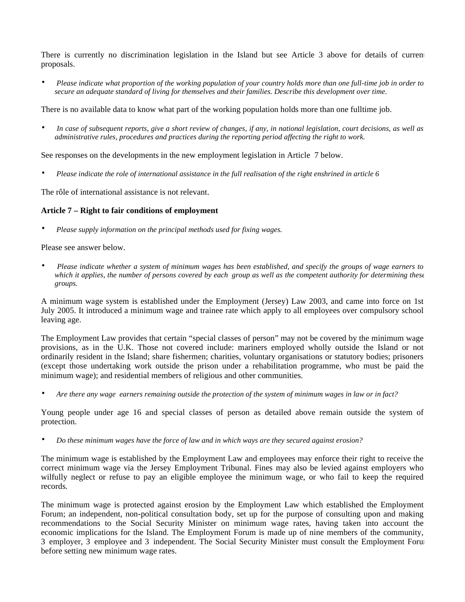There is currently no discrimination legislation in the Island but see Article 3 above for details of current proposals.

• *Please indicate what proportion of the working population of your country holds more than one full-time job in order to secure an adequate standard of living for themselves and their families. Describe this development over time.*

There is no available data to know what part of the working population holds more than one fulltime job.

• *In case of subsequent reports, give a short review of changes, if any, in national legislation, court decisions, as well as administrative rules, procedures and practices during the reporting period affecting the right to work.*

See responses on the developments in the new employment legislation in Article 7 below.

• *Please indicate the role of international assistance in the full realisation of the right enshrined in article 6*

The rôle of international assistance is not relevant.

## **Article 7 – Right to fair conditions of employment**

• *Please supply information on the principal methods used for fixing wages.*

Please see answer below.

• *Please indicate whether a system of minimum wages has been established, and specify the groups of wage earners to which it applies, the number of persons covered by each group as well as the competent authority for determining these groups.*

A minimum wage system is established under the Employment (Jersey) Law 2003, and came into force on 1st July 2005. It introduced a minimum wage and trainee rate which apply to all employees over compulsory school leaving age.

The Employment Law provides that certain "special classes of person" may not be covered by the minimum wage provisions, as in the U.K. Those not covered include: mariners employed wholly outside the Island or not ordinarily resident in the Island; share fishermen; charities, voluntary organisations or statutory bodies; prisoners (except those undertaking work outside the prison under a rehabilitation programme, who must be paid the minimum wage); and residential members of religious and other communities.

• *Are there any wage earners remaining outside the protection of the system of minimum wages in law or in fact?*

Young people under age 16 and special classes of person as detailed above remain outside the system of protection.

• *Do these minimum wages have the force of law and in which ways are they secured against erosion?*

The minimum wage is established by the Employment Law and employees may enforce their right to receive the correct minimum wage via the Jersey Employment Tribunal. Fines may also be levied against employers who wilfully neglect or refuse to pay an eligible employee the minimum wage, or who fail to keep the required records.

The minimum wage is protected against erosion by the Employment Law which established the Employment Forum; an independent, non-political consultation body, set up for the purpose of consulting upon and making recommendations to the Social Security Minister on minimum wage rates, having taken into account the economic implications for the Island. The Employment Forum is made up of nine members of the community, 3 employer, 3 employee and 3 independent. The Social Security Minister must consult the Employment Forum before setting new minimum wage rates.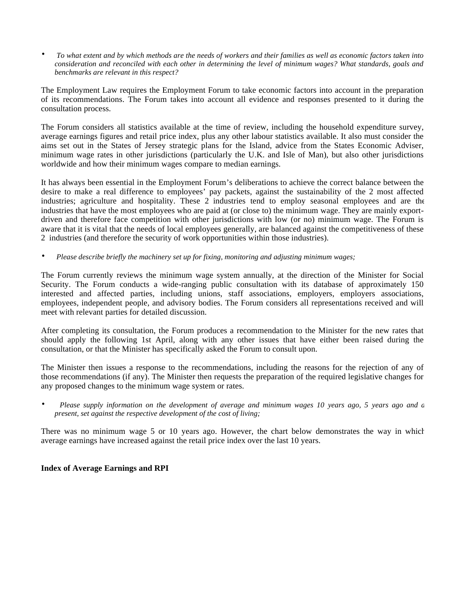• *To what extent and by which methods are the needs of workers and their families as well as economic factors taken into consideration and reconciled with each other in determining the level of minimum wages? What standards, goals and benchmarks are relevant in this respect?*

The Employment Law requires the Employment Forum to take economic factors into account in the preparation of its recommendations. The Forum takes into account all evidence and responses presented to it during the consultation process.

The Forum considers all statistics available at the time of review, including the household expenditure survey, average earnings figures and retail price index, plus any other labour statistics available. It also must consider the aims set out in the States of Jersey strategic plans for the Island, advice from the States Economic Adviser, minimum wage rates in other jurisdictions (particularly the U.K. and Isle of Man), but also other jurisdictions worldwide and how their minimum wages compare to median earnings.

It has always been essential in the Employment Forum's deliberations to achieve the correct balance between the desire to make a real difference to employees' pay packets, against the sustainability of the 2 most affected industries; agriculture and hospitality. These 2 industries tend to employ seasonal employees and are the industries that have the most employees who are paid at (or close to) the minimum wage. They are mainly exportdriven and therefore face competition with other jurisdictions with low (or no) minimum wage. The Forum is aware that it is vital that the needs of local employees generally, are balanced against the competitiveness of these 2 industries (and therefore the security of work opportunities within those industries).

• *Please describe briefly the machinery set up for fixing, monitoring and adjusting minimum wages;*

The Forum currently reviews the minimum wage system annually, at the direction of the Minister for Social Security. The Forum conducts a wide-ranging public consultation with its database of approximately 150 interested and affected parties, including unions, staff associations, employers, employers associations, employees, independent people, and advisory bodies. The Forum considers all representations received and will meet with relevant parties for detailed discussion.

After completing its consultation, the Forum produces a recommendation to the Minister for the new rates that should apply the following 1st April, along with any other issues that have either been raised during the consultation, or that the Minister has specifically asked the Forum to consult upon.

The Minister then issues a response to the recommendations, including the reasons for the rejection of any of those recommendations (if any). The Minister then requests the preparation of the required legislative changes for any proposed changes to the minimum wage system or rates.

Please supply information on the development of average and minimum wages 10 years ago, 5 years ago and a *present, set against the respective development of the cost of living;*

There was no minimum wage 5 or 10 years ago. However, the chart below demonstrates the way in which average earnings have increased against the retail price index over the last 10 years.

# **Index of Average Earnings and RPI**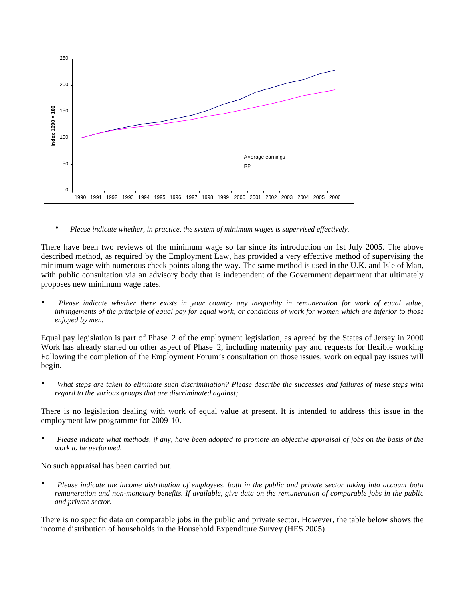

• *Please indicate whether, in practice, the system of minimum wages is supervised effectively.*

There have been two reviews of the minimum wage so far since its introduction on 1st July 2005. The above described method, as required by the Employment Law, has provided a very effective method of supervising the minimum wage with numerous check points along the way. The same method is used in the U.K. and Isle of Man, with public consultation via an advisory body that is independent of the Government department that ultimately proposes new minimum wage rates.

• *Please indicate whether there exists in your country any inequality in remuneration for work of equal value, infringements of the principle of equal pay for equal work, or conditions of work for women which are inferior to those enjoyed by men.*

Equal pay legislation is part of Phase 2 of the employment legislation, as agreed by the States of Jersey in 2000. Work has already started on other aspect of Phase 2, including maternity pay and requests for flexible working. Following the completion of the Employment Forum's consultation on those issues, work on equal pay issues will begin.

• *What steps are taken to eliminate such discrimination? Please describe the successes and failures of these steps with regard to the various groups that are discriminated against;*

There is no legislation dealing with work of equal value at present. It is intended to address this issue in the employment law programme for 2009-10.

• *Please indicate what methods, if any, have been adopted to promote an objective appraisal of jobs on the basis of the work to be performed.*

No such appraisal has been carried out.

• *Please indicate the income distribution of employees, both in the public and private sector taking into account both remuneration and non-monetary benefits. If available, give data on the remuneration of comparable jobs in the public and private sector.*

There is no specific data on comparable jobs in the public and private sector. However, the table below shows the income distribution of households in the Household Expenditure Survey (HES 2005)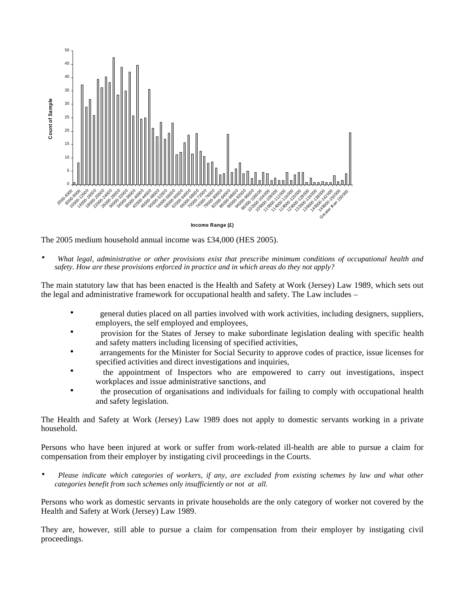

The 2005 medium household annual income was £34,000 (HES 2005).

• *What legal, administrative or other provisions exist that prescribe minimum conditions of occupational health and safety. How are these provisions enforced in practice and in which areas do they not apply?*

The main statutory law that has been enacted is the Health and Safety at Work (Jersey) Law 1989, which sets out the legal and administrative framework for occupational health and safety. The Law includes –

- general duties placed on all parties involved with work activities, including designers, suppliers, employers, the self employed and employees,
- provision for the States of Jersey to make subordinate legislation dealing with specific health and safety matters including licensing of specified activities,
- arrangements for the Minister for Social Security to approve codes of practice, issue licenses for specified activities and direct investigations and inquiries,
- the appointment of Inspectors who are empowered to carry out investigations, inspect workplaces and issue administrative sanctions, and
- the prosecution of organisations and individuals for failing to comply with occupational health and safety legislation.

The Health and Safety at Work (Jersey) Law 1989 does not apply to domestic servants working in a private household.

Persons who have been injured at work or suffer from work-related ill-health are able to pursue a claim for compensation from their employer by instigating civil proceedings in the Courts.

• *Please indicate which categories of workers, if any, are excluded from existing schemes by law and what other categories benefit from such schemes only insufficiently or not at all.*

Persons who work as domestic servants in private households are the only category of worker not covered by the Health and Safety at Work (Jersey) Law 1989.

They are, however, still able to pursue a claim for compensation from their employer by instigating civil proceedings.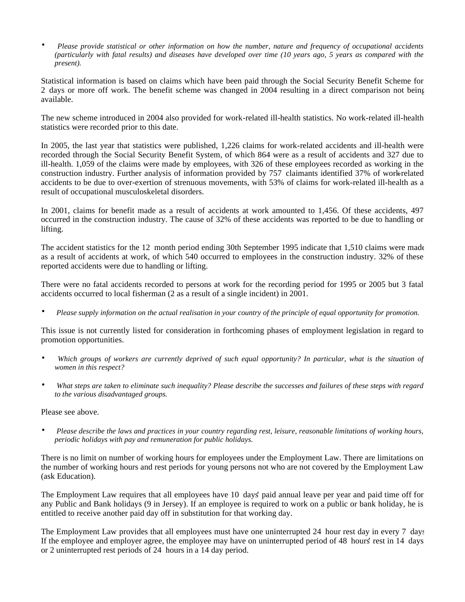• *Please provide statistical or other information on how the number, nature and frequency of occupational accidents (particularly with fatal results) and diseases have developed over time (10 years ago, 5 years as compared with the present).*

Statistical information is based on claims which have been paid through the Social Security Benefit Scheme for 2 days or more off work. The benefit scheme was changed in 2004 resulting in a direct comparison not being available.

The new scheme introduced in 2004 also provided for work-related ill-health statistics. No work-related ill-health statistics were recorded prior to this date.

In 2005, the last year that statistics were published, 1,226 claims for work-related accidents and ill-health were recorded through the Social Security Benefit System, of which 864 were as a result of accidents and 327 due to ill-health. 1,059 of the claims were made by employees, with 326 of these employees recorded as working in the construction industry. Further analysis of information provided by 757 claimants identified 37% of work-related accidents to be due to over-exertion of strenuous movements, with 53% of claims for work-related ill-health as a result of occupational musculoskeletal disorders.

In 2001, claims for benefit made as a result of accidents at work amounted to 1,456. Of these accidents, 497 occurred in the construction industry. The cause of 32% of these accidents was reported to be due to handling or lifting.

The accident statistics for the 12 month period ending 30th September 1995 indicate that 1,510 claims were made as a result of accidents at work, of which 540 occurred to employees in the construction industry. 32% of these reported accidents were due to handling or lifting.

There were no fatal accidents recorded to persons at work for the recording period for 1995 or 2005 but 3 fatal accidents occurred to local fisherman (2 as a result of a single incident) in 2001.

• *Please supply information on the actual realisation in your country of the principle of equal opportunity for promotion.*

This issue is not currently listed for consideration in forthcoming phases of employment legislation in regard to promotion opportunities.

- *Which groups of workers are currently deprived of such equal opportunity? In particular, what is the situation of women in this respect?*
- *What steps are taken to eliminate such inequality? Please describe the successes and failures of these steps with regard to the various disadvantaged groups.*

Please see above.

• *Please describe the laws and practices in your country regarding rest, leisure, reasonable limitations of working hours, periodic holidays with pay and remuneration for public holidays.*

There is no limit on number of working hours for employees under the Employment Law. There are limitations on the number of working hours and rest periods for young persons not who are not covered by the Employment Law (ask Education).

The Employment Law requires that all employees have 10 days' paid annual leave per year and paid time off for any Public and Bank holidays (9 in Jersey). If an employee is required to work on a public or bank holiday, he is entitled to receive another paid day off in substitution for that working day.

The Employment Law provides that all employees must have one uninterrupted 24 hour rest day in every 7 days. If the employee and employer agree, the employee may have on uninterrupted period of 48 hours' rest in 14 days, or 2 uninterrupted rest periods of 24 hours in a 14 day period.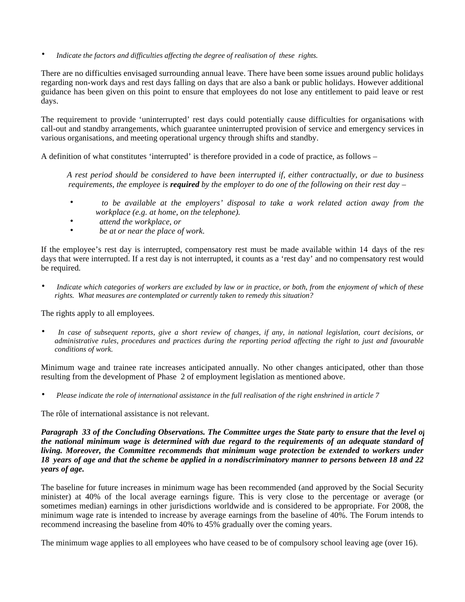• *Indicate the factors and difficulties affecting the degree of realisation of these rights.*

There are no difficulties envisaged surrounding annual leave. There have been some issues around public holidays regarding non-work days and rest days falling on days that are also a bank or public holidays. However additional guidance has been given on this point to ensure that employees do not lose any entitlement to paid leave or rest days.

The requirement to provide 'uninterrupted' rest days could potentially cause difficulties for organisations with call-out and standby arrangements, which guarantee uninterrupted provision of service and emergency services in various organisations, and meeting operational urgency through shifts and standby.

A definition of what constitutes 'interrupted' is therefore provided in a code of practice, as follows –

 *A rest period should be considered to have been interrupted if, either contractually, or due to business requirements, the employee is required by the employer to do one of the following on their rest day –*

- *to be available at the employers' disposal to take a work related action away from the workplace (e.g. at home, on the telephone).*
- *attend the workplace, or*
- *be at or near the place of work.*

If the employee's rest day is interrupted, compensatory rest must be made available within 14 days of the rest days that were interrupted. If a rest day is not interrupted, it counts as a 'rest day' and no compensatory rest would be required*.*

• *Indicate which categories of workers are excluded by law or in practice, or both, from the enjoyment of which of these rights. What measures are contemplated or currently taken to remedy this situation?*

The rights apply to all employees.

• *In case of subsequent reports, give a short review of changes, if any, in national legislation, court decisions, or administrative rules, procedures and practices during the reporting period affecting the right to just and favourable conditions of work.*

Minimum wage and trainee rate increases anticipated annually. No other changes anticipated, other than those resulting from the development of Phase 2 of employment legislation as mentioned above.

• *Please indicate the role of international assistance in the full realisation of the right enshrined in article 7*

The rôle of international assistance is not relevant*.*

*Paragraph 33 of the Concluding Observations. The Committee urges the State party to ensure that the level of the national minimum wage is determined with due regard to the requirements of an adequate standard of living. Moreover, the Committee recommends that minimum wage protection be extended to workers under 18 years of age and that the scheme be applied in a non-discriminatory manner to persons between 18 and 22 years of age.*

The baseline for future increases in minimum wage has been recommended (and approved by the Social Security minister) at 40% of the local average earnings figure. This is very close to the percentage or average (or sometimes median) earnings in other jurisdictions worldwide and is considered to be appropriate. For 2008, the minimum wage rate is intended to increase by average earnings from the baseline of 40%. The Forum intends to recommend increasing the baseline from 40% to 45% gradually over the coming years.

The minimum wage applies to all employees who have ceased to be of compulsory school leaving age (over 16).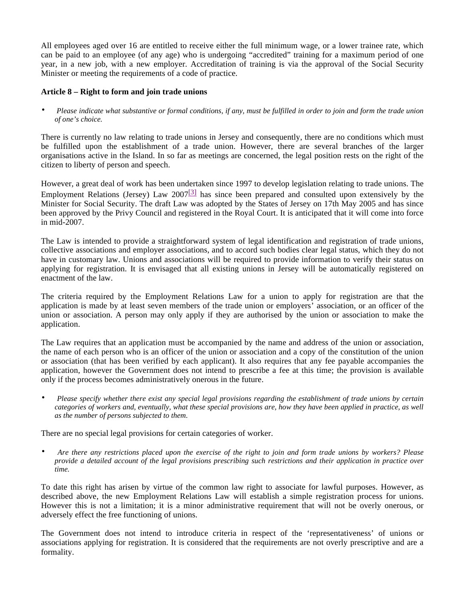All employees aged over 16 are entitled to receive either the full minimum wage, or a lower trainee rate, which can be paid to an employee (of any age) who is undergoing "accredited" training for a maximum period of one year, in a new job, with a new employer. Accreditation of training is via the approval of the Social Security Minister or meeting the requirements of a code of practice.

# **Article 8 – Right to form and join trade unions**

• *Please indicate what substantive or formal conditions, if any, must be fulfilled in order to join and form the trade union of one's choice.*

There is currently no law relating to trade unions in Jersey and consequently, there are no conditions which must be fulfilled upon the establishment of a trade union. However, there are several branches of the larger organisations active in the Island. In so far as meetings are concerned, the legal position rests on the right of the citizen to liberty of person and speech.

However, a great deal of work has been undertaken since 1997 to develop legislation relating to trade unions. The Employment Relations (Jersey) Law  $2007^{3}$  has since been prepared and consulted upon extensively by the Minister for Social Security. The draft Law was adopted by the States of Jersey on 17th May 2005 and has since been approved by the Privy Council and registered in the Royal Court. It is anticipated that it will come into force in mid-2007.

The Law is intended to provide a straightforward system of legal identification and registration of trade unions, collective associations and employer associations, and to accord such bodies clear legal status, which they do not have in customary law. Unions and associations will be required to provide information to verify their status on applying for registration. It is envisaged that all existing unions in Jersey will be automatically registered on enactment of the law.

The criteria required by the Employment Relations Law for a union to apply for registration are that the application is made by at least seven members of the trade union or employers' association, or an officer of the union or association. A person may only apply if they are authorised by the union or association to make the application.

The Law requires that an application must be accompanied by the name and address of the union or association, the name of each person who is an officer of the union or association and a copy of the constitution of the union or association (that has been verified by each applicant). It also requires that any fee payable accompanies the application, however the Government does not intend to prescribe a fee at this time; the provision is available only if the process becomes administratively onerous in the future.

• *Please specify whether there exist any special legal provisions regarding the establishment of trade unions by certain categories of workers and, eventually, what these special provisions are, how they have been applied in practice, as well as the number of persons subjected to them.*

There are no special legal provisions for certain categories of worker.

• *Are there any restrictions placed upon the exercise of the right to join and form trade unions by workers? Please provide a detailed account of the legal provisions prescribing such restrictions and their application in practice over time.*

To date this right has arisen by virtue of the common law right to associate for lawful purposes. However, as described above, the new Employment Relations Law will establish a simple registration process for unions. However this is not a limitation; it is a minor administrative requirement that will not be overly onerous, or adversely effect the free functioning of unions.

The Government does not intend to introduce criteria in respect of the 'representativeness' of unions or associations applying for registration. It is considered that the requirements are not overly prescriptive and are a formality.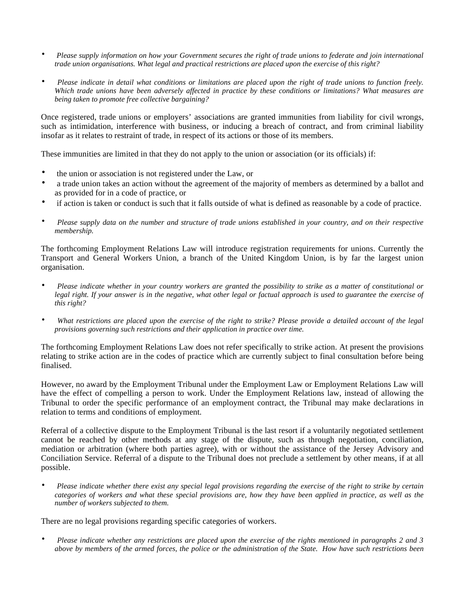- *Please supply information on how your Government secures the right of trade unions to federate and join international trade union organisations. What legal and practical restrictions are placed upon the exercise of this right?*
- *Please indicate in detail what conditions or limitations are placed upon the right of trade unions to function freely. Which trade unions have been adversely affected in practice by these conditions or limitations? What measures are being taken to promote free collective bargaining?*

Once registered, trade unions or employers' associations are granted immunities from liability for civil wrongs, such as intimidation, interference with business, or inducing a breach of contract, and from criminal liability insofar as it relates to restraint of trade, in respect of its actions or those of its members.

These immunities are limited in that they do not apply to the union or association (or its officials) if:

- the union or association is not registered under the Law, or
- a trade union takes an action without the agreement of the majority of members as determined by a ballot and as provided for in a code of practice, or
- if action is taken or conduct is such that it falls outside of what is defined as reasonable by a code of practice.
- *Please supply data on the number and structure of trade unions established in your country, and on their respective membership.*

The forthcoming Employment Relations Law will introduce registration requirements for unions. Currently the Transport and General Workers Union, a branch of the United Kingdom Union, is by far the largest union organisation.

- *Please indicate whether in your country workers are granted the possibility to strike as a matter of constitutional or legal right. If your answer is in the negative, what other legal or factual approach is used to guarantee the exercise of this right?*
- *What restrictions are placed upon the exercise of the right to strike? Please provide a detailed account of the legal provisions governing such restrictions and their application in practice over time.*

The forthcoming Employment Relations Law does not refer specifically to strike action. At present the provisions relating to strike action are in the codes of practice which are currently subject to final consultation before being finalised.

However, no award by the Employment Tribunal under the Employment Law or Employment Relations Law will have the effect of compelling a person to work. Under the Employment Relations law, instead of allowing the Tribunal to order the specific performance of an employment contract, the Tribunal may make declarations in relation to terms and conditions of employment.

Referral of a collective dispute to the Employment Tribunal is the last resort if a voluntarily negotiated settlement cannot be reached by other methods at any stage of the dispute, such as through negotiation, conciliation, mediation or arbitration (where both parties agree), with or without the assistance of the Jersey Advisory and Conciliation Service. Referral of a dispute to the Tribunal does not preclude a settlement by other means, if at all possible.

• *Please indicate whether there exist any special legal provisions regarding the exercise of the right to strike by certain categories of workers and what these special provisions are, how they have been applied in practice, as well as the number of workers subjected to them.*

There are no legal provisions regarding specific categories of workers.

• *Please indicate whether any restrictions are placed upon the exercise of the rights mentioned in paragraphs 2 and 3 above by members of the armed forces, the police or the administration of the State. How have such restrictions been*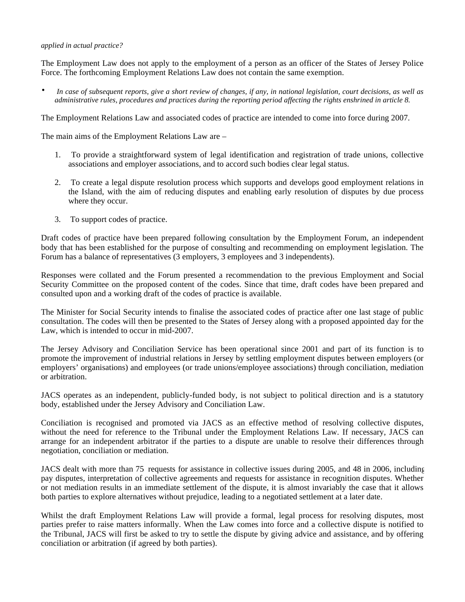### *applied in actual practice?*

The Employment Law does not apply to the employment of a person as an officer of the States of Jersey Police Force. The forthcoming Employment Relations Law does not contain the same exemption.

• *In case of subsequent reports, give a short review of changes, if any, in national legislation, court decisions, as well as administrative rules, procedures and practices during the reporting period affecting the rights enshrined in article 8.*

The Employment Relations Law and associated codes of practice are intended to come into force during 2007.

The main aims of the Employment Relations Law are –

- 1. To provide a straightforward system of legal identification and registration of trade unions, collective associations and employer associations, and to accord such bodies clear legal status.
- 2. To create a legal dispute resolution process which supports and develops good employment relations in the Island, with the aim of reducing disputes and enabling early resolution of disputes by due process where they occur.
- 3. To support codes of practice.

Draft codes of practice have been prepared following consultation by the Employment Forum, an independent body that has been established for the purpose of consulting and recommending on employment legislation. The Forum has a balance of representatives (3 employers, 3 employees and 3 independents).

Responses were collated and the Forum presented a recommendation to the previous Employment and Social Security Committee on the proposed content of the codes. Since that time, draft codes have been prepared and consulted upon and a working draft of the codes of practice is available.

The Minister for Social Security intends to finalise the associated codes of practice after one last stage of public consultation. The codes will then be presented to the States of Jersey along with a proposed appointed day for the Law, which is intended to occur in mid-2007.

The Jersey Advisory and Conciliation Service has been operational since 2001 and part of its function is to promote the improvement of industrial relations in Jersey by settling employment disputes between employers (or employers' organisations) and employees (or trade unions/employee associations) through conciliation, mediation or arbitration.

JACS operates as an independent, publicly-funded body, is not subject to political direction and is a statutory body, established under the Jersey Advisory and Conciliation Law.

Conciliation is recognised and promoted via JACS as an effective method of resolving collective disputes, without the need for reference to the Tribunal under the Employment Relations Law. If necessary, JACS can arrange for an independent arbitrator if the parties to a dispute are unable to resolve their differences through negotiation, conciliation or mediation.

JACS dealt with more than 75 requests for assistance in collective issues during 2005, and 48 in 2006, including pay disputes, interpretation of collective agreements and requests for assistance in recognition disputes. Whether or not mediation results in an immediate settlement of the dispute, it is almost invariably the case that it allows both parties to explore alternatives without prejudice, leading to a negotiated settlement at a later date.

Whilst the draft Employment Relations Law will provide a formal, legal process for resolving disputes, most parties prefer to raise matters informally. When the Law comes into force and a collective dispute is notified to the Tribunal, JACS will first be asked to try to settle the dispute by giving advice and assistance, and by offering conciliation or arbitration (if agreed by both parties).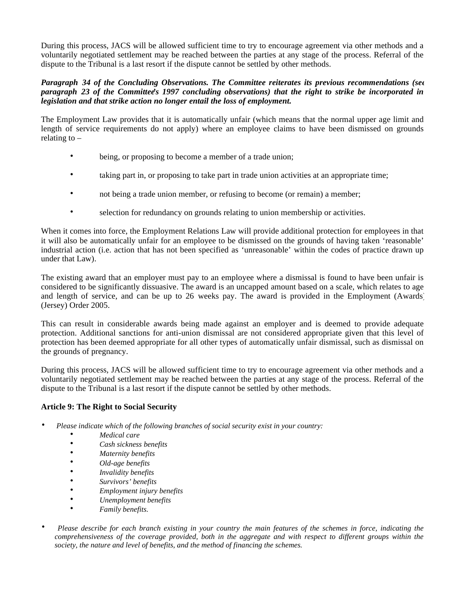During this process, JACS will be allowed sufficient time to try to encourage agreement via other methods and a voluntarily negotiated settlement may be reached between the parties at any stage of the process. Referral of the dispute to the Tribunal is a last resort if the dispute cannot be settled by other methods.

## *Paragraph 34 of the Concluding Observations. The Committee reiterates its previous recommendations (see paragraph 23 of the Committee's 1997 concluding observations) that the right to strike be incorporated in legislation and that strike action no longer entail the loss of employment.*

The Employment Law provides that it is automatically unfair (which means that the normal upper age limit and length of service requirements do not apply) where an employee claims to have been dismissed on grounds relating to  $-$ 

- being, or proposing to become a member of a trade union;
- taking part in, or proposing to take part in trade union activities at an appropriate time;
- not being a trade union member, or refusing to become (or remain) a member;
- selection for redundancy on grounds relating to union membership or activities.

When it comes into force, the Employment Relations Law will provide additional protection for employees in that it will also be automatically unfair for an employee to be dismissed on the grounds of having taken 'reasonable' industrial action (i.e. action that has not been specified as 'unreasonable' within the codes of practice drawn up under that Law).

The existing award that an employer must pay to an employee where a dismissal is found to have been unfair is considered to be significantly dissuasive. The award is an uncapped amount based on a scale, which relates to age and length of service, and can be up to 26 weeks pay. The award is provided in the Employment (Awards) (Jersey) Order 2005.

This can result in considerable awards being made against an employer and is deemed to provide adequate protection. Additional sanctions for anti-union dismissal are not considered appropriate given that this level of protection has been deemed appropriate for all other types of automatically unfair dismissal, such as dismissal on the grounds of pregnancy.

During this process, JACS will be allowed sufficient time to try to encourage agreement via other methods and a voluntarily negotiated settlement may be reached between the parties at any stage of the process. Referral of the dispute to the Tribunal is a last resort if the dispute cannot be settled by other methods.

# **Article 9: The Right to Social Security**

- *Please indicate which of the following branches of social security exist in your country:*
	- *Medical care*
	- *Cash sickness benefits*
	- *Maternity benefits*
	- *Old-age benefits*
	- *Invalidity benefits*
	- *Survivors' benefits*
	- *Employment injury benefits*
	- *Unemployment benefits*
	- *Family benefits.*
- *Please describe for each branch existing in your country the main features of the schemes in force, indicating the comprehensiveness of the coverage provided, both in the aggregate and with respect to different groups within the society, the nature and level of benefits, and the method of financing the schemes.*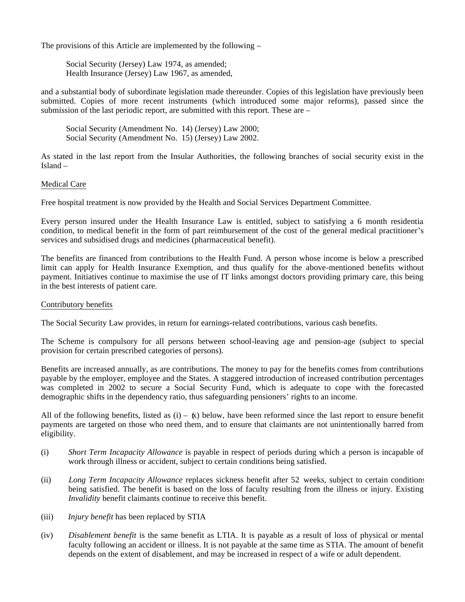The provisions of this Article are implemented by the following –

 Social Security (Jersey) Law 1974, as amended; Health Insurance (Jersey) Law 1967, as amended,

and a substantial body of subordinate legislation made thereunder. Copies of this legislation have previously been submitted. Copies of more recent instruments (which introduced some major reforms), passed since the submission of the last periodic report, are submitted with this report. These are –

 Social Security (Amendment No. 14) (Jersey) Law 2000; Social Security (Amendment No. 15) (Jersey) Law 2002.

As stated in the last report from the Insular Authorities, the following branches of social security exist in the Island –

## Medical Care

Free hospital treatment is now provided by the Health and Social Services Department Committee.

Every person insured under the Health Insurance Law is entitled, subject to satisfying a 6 month residential condition, to medical benefit in the form of part reimbursement of the cost of the general medical practitioner's services and subsidised drugs and medicines (pharmaceutical benefit).

The benefits are financed from contributions to the Health Fund. A person whose income is below a prescribed limit can apply for Health Insurance Exemption, and thus qualify for the above-mentioned benefits without payment. Initiatives continue to maximise the use of IT links amongst doctors providing primary care, this being in the best interests of patient care.

### Contributory benefits

The Social Security Law provides, in return for earnings-related contributions, various cash benefits.

The Scheme is compulsory for all persons between school-leaving age and pension-age (subject to special provision for certain prescribed categories of persons).

Benefits are increased annually, as are contributions. The money to pay for the benefits comes from contributions payable by the employer, employee and the States. A staggered introduction of increased contribution percentages was completed in 2002 to secure a Social Security Fund, which is adequate to cope with the forecasted demographic shifts in the dependency ratio, thus safeguarding pensioners' rights to an income.

All of the following benefits, listed as  $(i) - \kappa$ ) below, have been reformed since the last report to ensure benefit payments are targeted on those who need them, and to ensure that claimants are not unintentionally barred from eligibility.

- (i) *Short Term Incapacity Allowance* is payable in respect of periods during which a person is incapable of work through illness or accident, subject to certain conditions being satisfied.
- (ii) *Long Term Incapacity Allowance* replaces sickness benefit after 52 weeks, subject to certain conditions being satisfied. The benefit is based on the loss of faculty resulting from the illness or injury. Existing *Invalidity* benefit claimants continue to receive this benefit*.*
- (iii) *Injury benefit* has been replaced by STIA
- (iv) *Disablement benefit* is the same benefit as LTIA. It is payable as a result of loss of physical or mental faculty following an accident or illness. It is not payable at the same time as STIA. The amount of benefit depends on the extent of disablement, and may be increased in respect of a wife or adult dependent.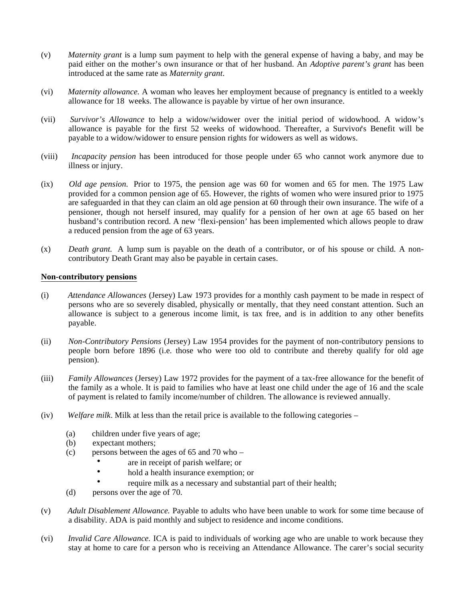- (v) *Maternity grant* is a lump sum payment to help with the general expense of having a baby, and may be paid either on the mother's own insurance or that of her husband. An *Adoptive parent's grant* has been introduced at the same rate as *Maternity grant*.
- (vi) *Maternity allowance.* A woman who leaves her employment because of pregnancy is entitled to a weekly allowance for 18 weeks. The allowance is payable by virtue of her own insurance.
- (vii) *Survivor's Allowance* to help a widow/widower over the initial period of widowhood. A widow's allowance is payable for the first 52 weeks of widowhood. Thereafter, a Survivor's Benefit will be payable to a widow/widower to ensure pension rights for widowers as well as widows.
- (viii) *Incapacity pension* has been introduced for those people under 65 who cannot work anymore due to illness or injury.
- (ix) *Old age pension.* Prior to 1975, the pension age was 60 for women and 65 for men. The 1975 Law provided for a common pension age of 65. However, the rights of women who were insured prior to 1975 are safeguarded in that they can claim an old age pension at 60 through their own insurance. The wife of a pensioner, though not herself insured, may qualify for a pension of her own at age 65 based on her husband's contribution record. A new 'flexi-pension' has been implemented which allows people to draw a reduced pension from the age of 63 years.
- (x) *Death grant.* A lump sum is payable on the death of a contributor, or of his spouse or child. A noncontributory Death Grant may also be payable in certain cases.

### **Non-contributory pensions**

- (i) *Attendance Allowances* (Jersey) Law 1973 provides for a monthly cash payment to be made in respect of persons who are so severely disabled, physically or mentally, that they need constant attention. Such an allowance is subject to a generous income limit, is tax free, and is in addition to any other benefits payable.
- (ii) *Non-Contributory Pensions* (Jersey) Law 1954 provides for the payment of non-contributory pensions to people born before 1896 (i.e. those who were too old to contribute and thereby qualify for old age pension).
- (iii) *Family Allowances* (Jersey) Law 1972 provides for the payment of a tax-free allowance for the benefit of the family as a whole. It is paid to families who have at least one child under the age of 16 and the scale of payment is related to family income/number of children. The allowance is reviewed annually.
- (iv) *Welfare milk*. Milk at less than the retail price is available to the following categories
	- (a) children under five years of age;
	- (b) expectant mothers;
	- (c) persons between the ages of 65 and 70 who
		- are in receipt of parish welfare; or
		- hold a health insurance exemption; or
		- require milk as a necessary and substantial part of their health;
	- (d) persons over the age of 70.
- (v) *Adult Disablement Allowance.* Payable to adults who have been unable to work for some time because of a disability. ADA is paid monthly and subject to residence and income conditions.
- (vi) *Invalid Care Allowance.* ICA is paid to individuals of working age who are unable to work because they stay at home to care for a person who is receiving an Attendance Allowance. The carer's social security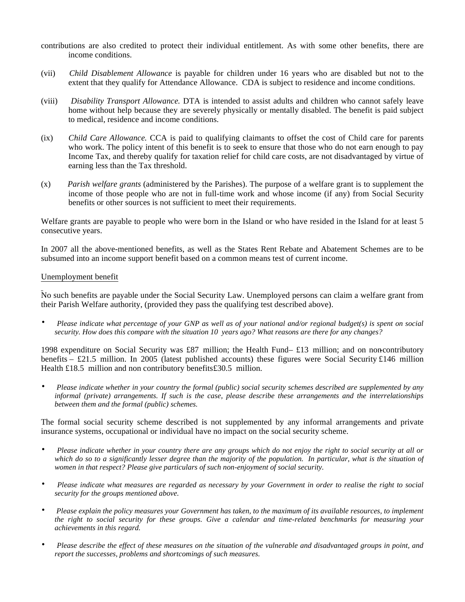- contributions are also credited to protect their individual entitlement. As with some other benefits, there are income conditions.
- (vii) *Child Disablement Allowance* is payable for children under 16 years who are disabled but not to the extent that they qualify for Attendance Allowance. CDA is subject to residence and income conditions.
- (viii) *Disability Transport Allowance.* DTA is intended to assist adults and children who cannot safely leave home without help because they are severely physically or mentally disabled. The benefit is paid subject to medical, residence and income conditions.
- (ix) *Child Care Allowance.* CCA is paid to qualifying claimants to offset the cost of Child care for parents who work. The policy intent of this benefit is to seek to ensure that those who do not earn enough to pay Income Tax, and thereby qualify for taxation relief for child care costs, are not disadvantaged by virtue of earning less than the Tax threshold.
- (x) *Parish welfare grants* (administered by the Parishes). The purpose of a welfare grant is to supplement the income of those people who are not in full-time work and whose income (if any) from Social Security benefits or other sources is not sufficient to meet their requirements.

Welfare grants are payable to people who were born in the Island or who have resided in the Island for at least 5 consecutive years.

In 2007 all the above-mentioned benefits, as well as the States Rent Rebate and Abatement Schemes are to be subsumed into an income support benefit based on a common means test of current income.

### Unemployment benefit

No such benefits are payable under the Social Security Law. Unemployed persons can claim a welfare grant from their Parish Welfare authority, (provided they pass the qualifying test described above).

• *Please indicate what percentage of your GNP as well as of your national and/or regional budget(s) is spent on social security. How does this compare with the situation 10 years ago? What reasons are there for any changes?*

1998 expenditure on Social Security was £87 million; the Health Fund– £13 million; and on non-contributory benefits – £21.5 million. In 2005 (latest published accounts) these figures were Social Security £146 million Health £18.5 million and non contributory benefits £30.5 million.

• *Please indicate whether in your country the formal (public) social security schemes described are supplemented by any informal (private) arrangements. If such is the case, please describe these arrangements and the interrelationships between them and the formal (public) schemes.*

The formal social security scheme described is not supplemented by any informal arrangements and private insurance systems, occupational or individual have no impact on the social security scheme.

- *Please indicate whether in your country there are any groups which do not enjoy the right to social security at all or which do so to a significantly lesser degree than the majority of the population. In particular, what is the situation of women in that respect? Please give particulars of such non-enjoyment of social security.*
- *Please indicate what measures are regarded as necessary by your Government in order to realise the right to social security for the groups mentioned above.*
- *Please explain the policy measures your Government has taken, to the maximum of its available resources, to implement the right to social security for these groups. Give a calendar and time-related benchmarks for measuring your achievements in this regard.*
- *Please describe the effect of these measures on the situation of the vulnerable and disadvantaged groups in point, and report the successes, problems and shortcomings of such measures.*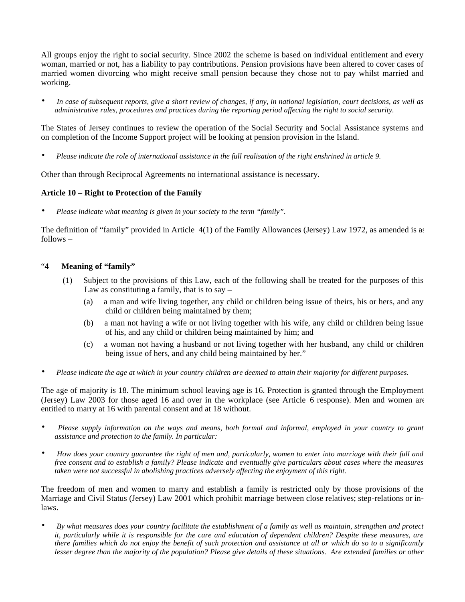All groups enjoy the right to social security. Since 2002 the scheme is based on individual entitlement and every woman, married or not, has a liability to pay contributions. Pension provisions have been altered to cover cases of married women divorcing who might receive small pension because they chose not to pay whilst married and working.

• *In case of subsequent reports, give a short review of changes, if any, in national legislation, court decisions, as well as administrative rules, procedures and practices during the reporting period affecting the right to social security.*

The States of Jersey continues to review the operation of the Social Security and Social Assistance systems and on completion of the Income Support project will be looking at pension provision in the Island.

• *Please indicate the role of international assistance in the full realisation of the right enshrined in article 9.*

Other than through Reciprocal Agreements no international assistance is necessary.

# **Article 10 – Right to Protection of the Family**

• *Please indicate what meaning is given in your society to the term "family".*

The definition of "family" provided in Article 4(1) of the Family Allowances (Jersey) Law 1972, as amended is as follows –

## "**4 Meaning of "family"**

- (1) Subject to the provisions of this Law, each of the following shall be treated for the purposes of this Law as constituting a family, that is to say  $-$ 
	- (a) a man and wife living together, any child or children being issue of theirs, his or hers, and any child or children being maintained by them;
	- (b) a man not having a wife or not living together with his wife, any child or children being issue of his, and any child or children being maintained by him; and
	- (c) a woman not having a husband or not living together with her husband, any child or children being issue of hers, and any child being maintained by her."
- *Please indicate the age at which in your country children are deemed to attain their majority for different purposes.*

The age of majority is 18. The minimum school leaving age is 16. Protection is granted through the Employment (Jersey) Law 2003 for those aged 16 and over in the workplace (see Article 6 response). Men and women are entitled to marry at 16 with parental consent and at 18 without.

- *Please supply information on the ways and means, both formal and informal, employed in your country to grant assistance and protection to the family. In particular:*
- *How does your country guarantee the right of men and, particularly, women to enter into marriage with their full and free consent and to establish a family? Please indicate and eventually give particulars about cases where the measures taken were not successful in abolishing practices adversely affecting the enjoyment of this right.*

The freedom of men and women to marry and establish a family is restricted only by those provisions of the Marriage and Civil Status (Jersey) Law 2001 which prohibit marriage between close relatives; step-relations or inlaws.

• *By what measures does your country facilitate the establishment of a family as well as maintain, strengthen and protect it, particularly while it is responsible for the care and education of dependent children? Despite these measures, are there families which do not enjoy the benefit of such protection and assistance at all or which do so to a significantly lesser degree than the majority of the population? Please give details of these situations. Are extended families or other*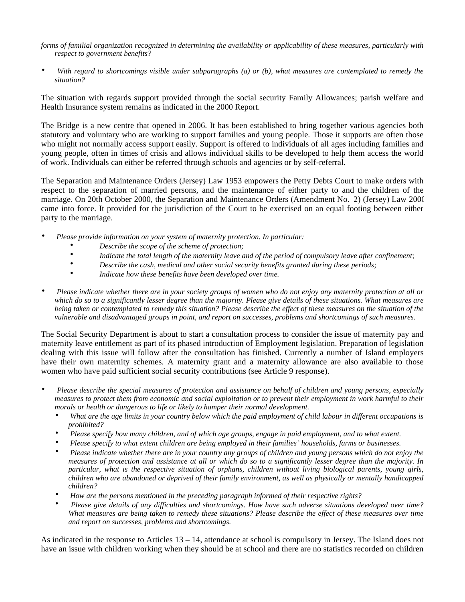*forms of familial organization recognized in determining the availability or applicability of these measures, particularly with respect to government benefits?*

• *With regard to shortcomings visible under subparagraphs (a) or (b), what measures are contemplated to remedy the situation?*

The situation with regards support provided through the social security Family Allowances; parish welfare and Health Insurance system remains as indicated in the 2000 Report.

The Bridge is a new centre that opened in 2006. It has been established to bring together various agencies both statutory and voluntary who are working to support families and young people. Those it supports are often those who might not normally access support easily. Support is offered to individuals of all ages including families and young people, often in times of crisis and allows individual skills to be developed to help them access the world of work. Individuals can either be referred through schools and agencies or by self-referral.

The Separation and Maintenance Orders (Jersey) Law 1953 empowers the Petty Debts Court to make orders with respect to the separation of married persons, and the maintenance of either party to and the children of the marriage. On 20th October 2000, the Separation and Maintenance Orders (Amendment No. 2) (Jersey) Law 2000 came into force. It provided for the jurisdiction of the Court to be exercised on an equal footing between either party to the marriage.

- *Please provide information on your system of maternity protection. In particular:*
	- *Describe the scope of the scheme of protection;*
	- *Indicate the total length of the maternity leave and of the period of compulsory leave after confinement;*
	- *Describe the cash, medical and other social security benefits granted during these periods;*
	- *Indicate how these benefits have been developed over time.*
- *Please indicate whether there are in your society groups of women who do not enjoy any maternity protection at all or which do so to a significantly lesser degree than the majority. Please give details of these situations. What measures are being taken or contemplated to remedy this situation? Please describe the effect of these measures on the situation of the vulnerable and disadvantaged groups in point, and report on successes, problems and shortcomings of such measures.*

The Social Security Department is about to start a consultation process to consider the issue of maternity pay and maternity leave entitlement as part of its phased introduction of Employment legislation. Preparation of legislation dealing with this issue will follow after the consultation has finished. Currently a number of Island employers have their own maternity schemes. A maternity grant and a maternity allowance are also available to those women who have paid sufficient social security contributions (see Article 9 response).

- *Please describe the special measures of protection and assistance on behalf of children and young persons, especially measures to protect them from economic and social exploitation or to prevent their employment in work harmful to their morals or health or dangerous to life or likely to hamper their normal development.*
	- *What are the age limits in your country below which the paid employment of child labour in different occupations is prohibited?*
	- *Please specify how many children, and of which age groups, engage in paid employment, and to what extent.*
	- *Please specify to what extent children are being employed in their families' households, farms or businesses.*
	- *Please indicate whether there are in your country any groups of children and young persons which do not enjoy the measures of protection and assistance at all or which do so to a significantly lesser degree than the majority. In particular, what is the respective situation of orphans, children without living biological parents, young girls, children who are abandoned or deprived of their family environment, as well as physically or mentally handicapped children?*
	- *How are the persons mentioned in the preceding paragraph informed of their respective rights?*
	- *Please give details of any difficulties and shortcomings. How have such adverse situations developed over time? What measures are being taken to remedy these situations? Please describe the effect of these measures over time and report on successes, problems and shortcomings.*

As indicated in the response to Articles 13 – 14, attendance at school is compulsory in Jersey. The Island does not have an issue with children working when they should be at school and there are no statistics recorded on children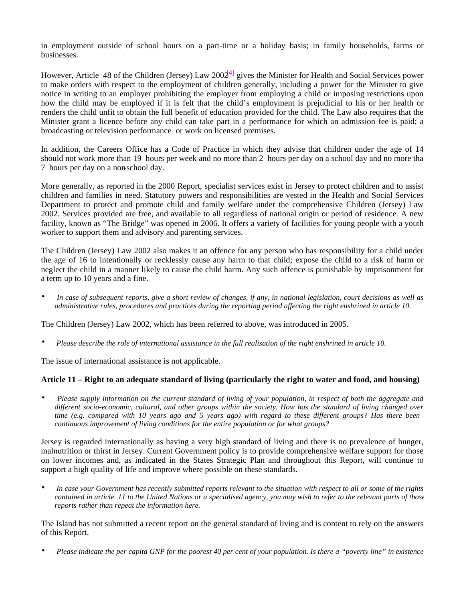in employment outside of school hours on a part-time or a holiday basis; in family households, farms or businesses.

However, Article 48 of the Children (Jersey) Law  $200\frac{41}{3}$  gives the Minister for Health and Social Services power to make orders with respect to the employment of children generally, including a power for the Minister to give notice in writing to an employer prohibiting the employer from employing a child or imposing restrictions upon how the child may be employed if it is felt that the child's employment is prejudicial to his or her health or renders the child unfit to obtain the full benefit of education provided for the child. The Law also requires that the Minister grant a licence before any child can take part in a performance for which an admission fee is paid; a broadcasting or television performance or work on licensed premises.

In addition, the Careers Office has a Code of Practice in which they advise that children under the age of 14 should not work more than 19 hours per week and no more than 2 hours per day on a school day and no more than 7 hours per day on a non-school day.

More generally, as reported in the 2000 Report, specialist services exist in Jersey to protect children and to assist children and families in need. Statutory powers and responsibilities are vested in the Health and Social Services Department to protect and promote child and family welfare under the comprehensive Children (Jersey) Law 2002. Services provided are free, and available to all regardless of national origin or period of residence. A new facility, known as "The Bridge" was opened in 2006. It offers a variety of facilities for young people with a youth worker to support them and advisory and parenting services.

The Children (Jersey) Law 2002 also makes it an offence for any person who has responsibility for a child under the age of 16 to intentionally or recklessly cause any harm to that child; expose the child to a risk of harm or neglect the child in a manner likely to cause the child harm. Any such offence is punishable by imprisonment for a term up to 10 years and a fine.

• *In case of subsequent reports, give a short review of changes, if any, in national legislation, court decisions as well as administrative rules, procedures and practices during the reporting period affecting the right enshrined in article 10.*

The Children (Jersey) Law 2002, which has been referred to above, was introduced in 2005.

• *Please describe the role of international assistance in the full realisation of the right enshrined in article 10.*

The issue of international assistance is not applicable.

# **Article 11 – Right to an adequate standard of living (particularly the right to water and food, and housing)**

• *Please supply information on the current standard of living of your population, in respect of both the aggregate and different socio-economic, cultural, and other groups within the society. How has the standard of living changed over time (e.g. compared with 10 years ago and 5 years ago) with regard to these different groups? Has there been a continuous improvement of living conditions for the entire population or for what groups?*

Jersey is regarded internationally as having a very high standard of living and there is no prevalence of hunger, malnutrition or thirst in Jersey. Current Government policy is to provide comprehensive welfare support for those on lower incomes and, as indicated in the States Strategic Plan and throughout this Report, will continue to support a high quality of life and improve where possible on these standards.

• *In case your Government has recently submitted reports relevant to the situation with respect to all or some of the rights contained in article 11 to the United Nations or a specialised agency, you may wish to refer to the relevant parts of those reports rather than repeat the information here.*

The Island has not submitted a recent report on the general standard of living and is content to rely on the answers of this Report.

• *Please indicate the per capita GNP for the poorest 40 per cent of your population. Is there a "poverty line" in existence*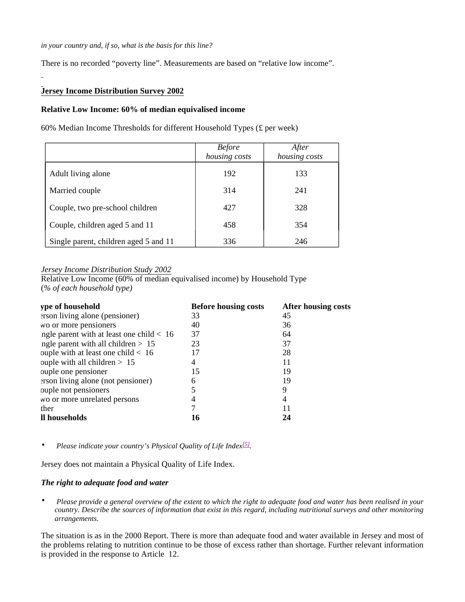There is no recorded "poverty line". Measurements are based on "relative low income".

# **Jersey Income Distribution Survey 2002**

### **Relative Low Income: 60% of median equivalised income**

60% Median Income Thresholds for different Household Types (£ per week)

|                                       | <b>Before</b><br>housing costs | After<br>housing costs |
|---------------------------------------|--------------------------------|------------------------|
| Adult living alone                    | 192                            | 133                    |
| Married couple                        | 314                            | 241                    |
| Couple, two pre-school children       | 427                            | 328                    |
| Couple, children aged 5 and 11        | 458                            | 354                    |
| Single parent, children aged 5 and 11 | 336                            | 246                    |

# *Jersey Income Distribution Study 2002*

Relative Low Income (60% of median equivalised income) by Household Type (*% of each household type)*

| ype of household                           | <b>Before housing costs</b> | After housing costs |
|--------------------------------------------|-----------------------------|---------------------|
| erson living alone (pensioner)             | 33                          | 45                  |
| wo or more pensioners                      | 40                          | 36                  |
| ngle parent with at least one child $< 16$ | 37                          | 64                  |
| ngle parent with all children $> 15$       | 23                          | 37                  |
| ouple with at least one child $< 16$       | 17                          | 28                  |
| ouple with all children $> 15$             | 4                           | 11                  |
| ouple one pensioner                        | 15                          | 19                  |
| erson living alone (not pensioner)         | 6                           | 19                  |
| ouple not pensioners                       |                             | 9                   |
| wo or more unrelated persons               |                             | 4                   |
| ther                                       |                             |                     |
| Il households                              | 16                          | 24                  |

• *Please indicate your country's Physical Quality of Life Index[5] .*

Jersey does not maintain a Physical Quality of Life Index.

### *The right to adequate food and water*

• *Please provide a general overview of the extent to which the right to adequate food and water has been realised in your country. Describe the sources of information that exist in this regard, including nutritional surveys and other monitoring arrangements.*

The situation is as in the 2000 Report. There is more than adequate food and water available in Jersey and most of the problems relating to nutrition continue to be those of excess rather than shortage. Further relevant information is provided in the response to Article 12.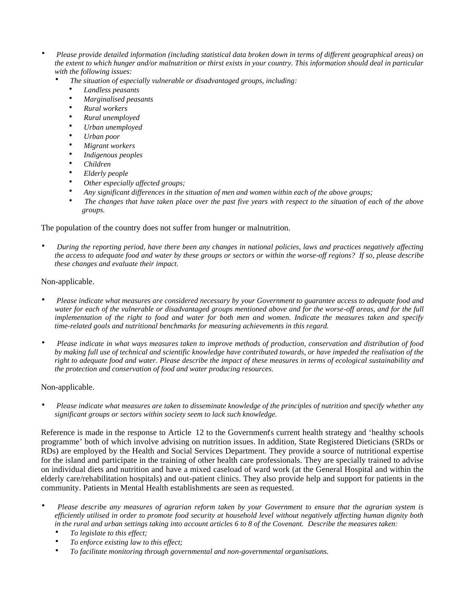- *Please provide detailed information (including statistical data broken down in terms of different geographical areas) on the extent to which hunger and/or malnutrition or thirst exists in your country. This information should deal in particular with the following issues:*
	- *The situation of especially vulnerable or disadvantaged groups, including:*
		- *Landless peasants*
		- *Marginalised peasants*
		- *Rural workers*
		- *Rural unemployed*
		- *Urban unemployed*
		- *Urban poor*
		- *Migrant workers*
		- *Indigenous peoples*
		- *Children*
		- *Elderly people*
		- *Other especially affected groups;*
		- *Any significant differences in the situation of men and women within each of the above groups;*
		- *The changes that have taken place over the past five years with respect to the situation of each of the above groups.*

The population of the country does not suffer from hunger or malnutrition.

• *During the reporting period, have there been any changes in national policies, laws and practices negatively affecting the access to adequate food and water by these groups or sectors or within the worse-off regions? If so, please describe these changes and evaluate their impact.*

## Non-applicable.

- *Please indicate what measures are considered necessary by your Government to guarantee access to adequate food and water for each of the vulnerable or disadvantaged groups mentioned above and for the worse-off areas, and for the full implementation of the right to food and water for both men and women. Indicate the measures taken and specify time-related goals and nutritional benchmarks for measuring achievements in this regard.*
- *Please indicate in what ways measures taken to improve methods of production, conservation and distribution of food by making full use of technical and scientific knowledge have contributed towards, or have impeded the realisation of the right to adequate food and water. Please describe the impact of these measures in terms of ecological sustainability and the protection and conservation of food and water producing resources.*

# Non-applicable.

• *Please indicate what measures are taken to disseminate knowledge of the principles of nutrition and specify whether any significant groups or sectors within society seem to lack such knowledge.*

Reference is made in the response to Article 12 to the Government's current health strategy and 'healthy schools programme' both of which involve advising on nutrition issues. In addition, State Registered Dieticians (SRDs or RDs) are employed by the Health and Social Services Department. They provide a source of nutritional expertise for the island and participate in the training of other health care professionals. They are specially trained to advise on individual diets and nutrition and have a mixed caseload of ward work (at the General Hospital and within the elderly care/rehabilitation hospitals) and out-patient clinics. They also provide help and support for patients in the community. Patients in Mental Health establishments are seen as requested.

- *Please describe any measures of agrarian reform taken by your Government to ensure that the agrarian system is efficiently utilised in order to promote food security at household level without negatively affecting human dignity both in the rural and urban settings taking into account articles 6 to 8 of the Covenant. Describe the measures taken:*
	- *To legislate to this effect;*
	- *To enforce existing law to this effect;*
	- *To facilitate monitoring through governmental and non-governmental organisations.*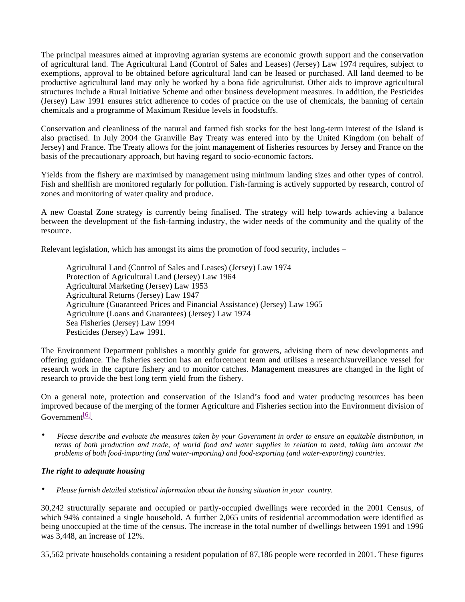The principal measures aimed at improving agrarian systems are economic growth support and the conservation of agricultural land. The Agricultural Land (Control of Sales and Leases) (Jersey) Law 1974 requires, subject to exemptions, approval to be obtained before agricultural land can be leased or purchased. All land deemed to be productive agricultural land may only be worked by a bona fide agriculturist. Other aids to improve agricultural structures include a Rural Initiative Scheme and other business development measures. In addition, the Pesticides (Jersey) Law 1991 ensures strict adherence to codes of practice on the use of chemicals, the banning of certain chemicals and a programme of Maximum Residue levels in foodstuffs.

Conservation and cleanliness of the natural and farmed fish stocks for the best long-term interest of the Island is also practised. In July 2004 the Granville Bay Treaty was entered into by the United Kingdom (on behalf of Jersey) and France. The Treaty allows for the joint management of fisheries resources by Jersey and France on the basis of the precautionary approach, but having regard to socio-economic factors.

Yields from the fishery are maximised by management using minimum landing sizes and other types of control. Fish and shellfish are monitored regularly for pollution. Fish-farming is actively supported by research, control of zones and monitoring of water quality and produce.

A new Coastal Zone strategy is currently being finalised. The strategy will help towards achieving a balance between the development of the fish-farming industry, the wider needs of the community and the quality of the resource.

Relevant legislation, which has amongst its aims the promotion of food security, includes –

 Agricultural Land (Control of Sales and Leases) (Jersey) Law 1974 Protection of Agricultural Land (Jersey) Law 1964 Agricultural Marketing (Jersey) Law 1953 Agricultural Returns (Jersey) Law 1947 Agriculture (Guaranteed Prices and Financial Assistance) (Jersey) Law 1965 Agriculture (Loans and Guarantees) (Jersey) Law 1974 Sea Fisheries (Jersey) Law 1994 Pesticides (Jersey) Law 1991.

The Environment Department publishes a monthly guide for growers, advising them of new developments and offering guidance. The fisheries section has an enforcement team and utilises a research/surveillance vessel for research work in the capture fishery and to monitor catches. Management measures are changed in the light of research to provide the best long term yield from the fishery.

On a general note, protection and conservation of the Island's food and water producing resources has been improved because of the merging of the former Agriculture and Fisheries section into the Environment division of Government<sup>[6]</sup>.

• *Please describe and evaluate the measures taken by your Government in order to ensure an equitable distribution, in terms of both production and trade, of world food and water supplies in relation to need, taking into account the problems of both food-importing (and water-importing) and food-exporting (and water-exporting) countries.*

# *The right to adequate housing*

• *Please furnish detailed statistical information about the housing situation in your country.*

30,242 structurally separate and occupied or partly-occupied dwellings were recorded in the 2001 Census, of which 94% contained a single household. A further 2,065 units of residential accommodation were identified as being unoccupied at the time of the census. The increase in the total number of dwellings between 1991 and 1996 was 3,448, an increase of 12%.

35,562 private households containing a resident population of 87,186 people were recorded in 2001. These figures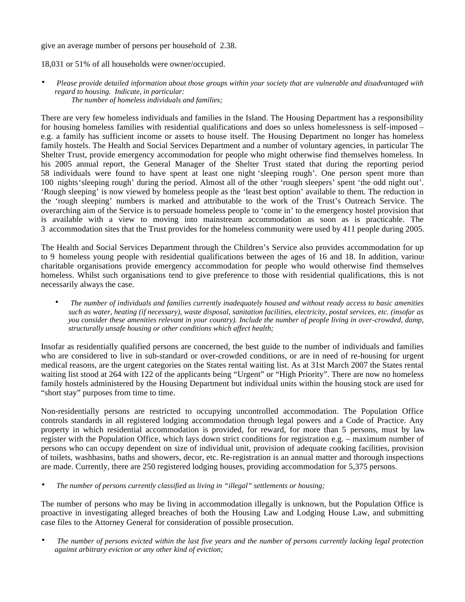## give an average number of persons per household of 2.38.

18,031 or 51% of all households were owner/occupied.

• *Please provide detailed information about those groups within your society that are vulnerable and disadvantaged with regard to housing. Indicate, in particular: The number of homeless individuals and families;*

There are very few homeless individuals and families in the Island. The Housing Department has a responsibility for housing homeless families with residential qualifications and does so unless homelessness is self-imposed – e.g. a family has sufficient income or assets to house itself. The Housing Department no longer has homeless family hostels. The Health and Social Services Department and a number of voluntary agencies, in particular The Shelter Trust, provide emergency accommodation for people who might otherwise find themselves homeless. In his 2005 annual report, the General Manager of the Shelter Trust stated that during the reporting period 58 individuals were found to have spent at least one night 'sleeping rough'. One person spent more than 100 nights'sleeping rough' during the period. Almost all of the other 'rough sleepers' spent 'the odd night out'. 'Rough sleeping' is now viewed by homeless people as the 'least best option' available to them. The reduction in the 'rough sleeping' numbers is marked and attributable to the work of the Trust's Outreach Service. The overarching aim of the Service is to persuade homeless people to 'come in' to the emergency hostel provision that is available with a view to moving into mainstream accommodation as soon as is practicable. The 3 accommodation sites that the Trust provides for the homeless community were used by 411 people during 2005.

The Health and Social Services Department through the Children's Service also provides accommodation for up to 9 homeless young people with residential qualifications between the ages of 16 and 18. In addition, various charitable organisations provide emergency accommodation for people who would otherwise find themselves homeless. Whilst such organisations tend to give preference to those with residential qualifications, this is not necessarily always the case.

• *The number of individuals and families currently inadequately housed and without ready access to basic amenities such as water, heating (if necessary), waste disposal, sanitation facilities, electricity, postal services, etc. (insofar as you consider these amenities relevant in your country). Include the number of people living in over-crowded, damp, structurally unsafe housing or other conditions which affect health;*

Insofar as residentially qualified persons are concerned, the best guide to the number of individuals and families who are considered to live in sub-standard or over-crowded conditions, or are in need of re-housing for urgent medical reasons, are the urgent categories on the States rental waiting list. As at 31st March 2007 the States rental waiting list stood at 264 with 122 of the applicants being "Urgent" or "High Priority". There are now no homeless family hostels administered by the Housing Department but individual units within the housing stock are used for "short stay" purposes from time to time.

Non-residentially persons are restricted to occupying uncontrolled accommodation. The Population Office controls standards in all registered lodging accommodation through legal powers and a Code of Practice. Any property in which residential accommodation is provided, for reward, for more than 5 persons, must by law register with the Population Office, which lays down strict conditions for registration e.g. – maximum number of persons who can occupy dependent on size of individual unit, provision of adequate cooking facilities, provision of toilets, washbasins, baths and showers, decor, etc. Re-registration is an annual matter and thorough inspections are made. Currently, there are 250 registered lodging houses, providing accommodation for 5,375 persons.

• *The number of persons currently classified as living in "illegal" settlements or housing;*

The number of persons who may be living in accommodation illegally is unknown, but the Population Office is proactive in investigating alleged breaches of both the Housing Law and Lodging House Law, and submitting case files to the Attorney General for consideration of possible prosecution.

• *The number of persons evicted within the last five years and the number of persons currently lacking legal protection against arbitrary eviction or any other kind of eviction;*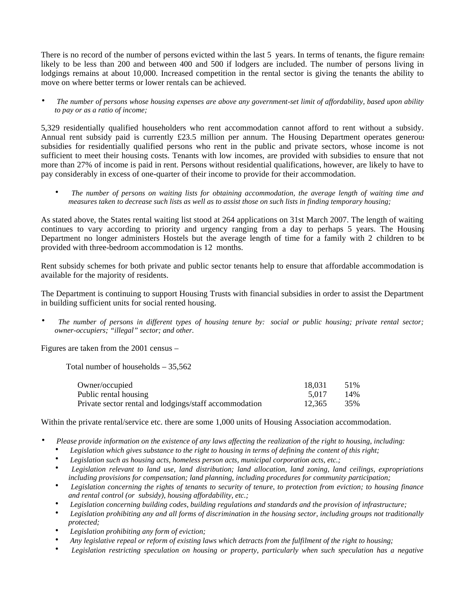There is no record of the number of persons evicted within the last 5 years. In terms of tenants, the figure remains likely to be less than 200 and between 400 and 500 if lodgers are included. The number of persons living in lodgings remains at about 10,000. Increased competition in the rental sector is giving the tenants the ability to move on where better terms or lower rentals can be achieved.

• *The number of persons whose housing expenses are above any government-set limit of affordability, based upon ability to pay or as a ratio of income;*

5,329 residentially qualified householders who rent accommodation cannot afford to rent without a subsidy. Annual rent subsidy paid is currently £23.5 million per annum. The Housing Department operates generous subsidies for residentially qualified persons who rent in the public and private sectors, whose income is not sufficient to meet their housing costs. Tenants with low incomes, are provided with subsidies to ensure that not more than 27% of income is paid in rent. Persons without residential qualifications, however, are likely to have to pay considerably in excess of one-quarter of their income to provide for their accommodation.

• *The number of persons on waiting lists for obtaining accommodation, the average length of waiting time and measures taken to decrease such lists as well as to assist those on such lists in finding temporary housing;*

As stated above, the States rental waiting list stood at 264 applications on 31st March 2007. The length of waiting continues to vary according to priority and urgency ranging from a day to perhaps 5 years. The Housing Department no longer administers Hostels but the average length of time for a family with 2 children to be provided with three-bedroom accommodation is 12 months.

Rent subsidy schemes for both private and public sector tenants help to ensure that affordable accommodation is available for the majority of residents.

The Department is continuing to support Housing Trusts with financial subsidies in order to assist the Department in building sufficient units for social rented housing.

• *The number of persons in different types of housing tenure by: social or public housing; private rental sector; owner-occupiers; "illegal" sector; and other.*

Figures are taken from the 2001 census –

Total number of households – 35,562

| Owner/occupied                                         | 18.031 | 51% |
|--------------------------------------------------------|--------|-----|
| Public rental housing                                  | 5.017  | 14% |
| Private sector rental and lodgings/staff accommodation | 12.365 | 35% |

Within the private rental/service etc. there are some 1,000 units of Housing Association accommodation.

- *Please provide information on the existence of any laws affecting the realization of the right to housing, including:*
	- *Legislation which gives substance to the right to housing in terms of defining the content of this right;*
	- *Legislation such as housing acts, homeless person acts, municipal corporation acts, etc.;*
	- *Legislation relevant to land use, land distribution; land allocation, land zoning, land ceilings, expropriations including provisions for compensation; land planning, including procedures for community participation;*
	- *Legislation concerning the rights of tenants to security of tenure, to protection from eviction; to housing finance and rental control (or subsidy), housing affordability, etc.;*
	- *Legislation concerning building codes, building regulations and standards and the provision of infrastructure;*
	- *Legislation prohibiting any and all forms of discrimination in the housing sector, including groups not traditionally protected;*
	- *Legislation prohibiting any form of eviction;*
	- *Any legislative repeal or reform of existing laws which detracts from the fulfilment of the right to housing;*
	- *Legislation restricting speculation on housing or property, particularly when such speculation has a negative*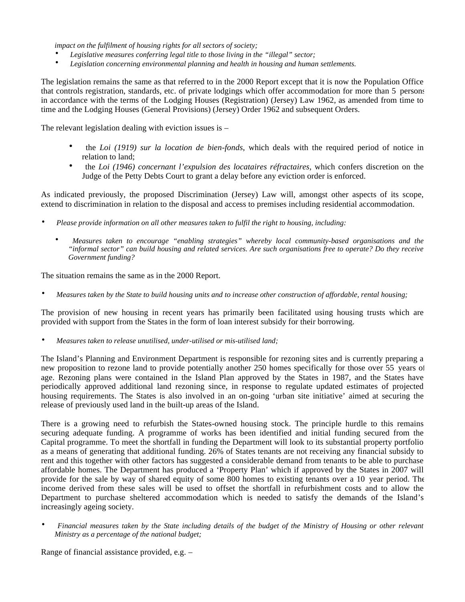*impact on the fulfilment of housing rights for all sectors of society;*

- *Legislative measures conferring legal title to those living in the "illegal" sector;*
- *Legislation concerning environmental planning and health in housing and human settlements.*

The legislation remains the same as that referred to in the 2000 Report except that it is now the Population Office that controls registration, standards, etc. of private lodgings which offer accommodation for more than 5 persons in accordance with the terms of the Lodging Houses (Registration) (Jersey) Law 1962, as amended from time to time and the Lodging Houses (General Provisions) (Jersey) Order 1962 and subsequent Orders.

The relevant legislation dealing with eviction issues is –

- the *Loi (1919) sur la location de bien-fonds*, which deals with the required period of notice in relation to land;
- the *Loi (1946) concernant l'expulsion des locataires réfractaires*, which confers discretion on the Judge of the Petty Debts Court to grant a delay before any eviction order is enforced.

As indicated previously, the proposed Discrimination (Jersey) Law will, amongst other aspects of its scope, extend to discrimination in relation to the disposal and access to premises including residential accommodation.

- *Please provide information on all other measures taken to fulfil the right to housing, including:*
	- *Measures taken to encourage "enabling strategies" whereby local community-based organisations and the "informal sector" can build housing and related services. Are such organisations free to operate? Do they receive Government funding?*

The situation remains the same as in the 2000 Report.

• *Measures taken by the State to build housing units and to increase other construction of affordable, rental housing;*

The provision of new housing in recent years has primarily been facilitated using housing trusts which are provided with support from the States in the form of loan interest subsidy for their borrowing.

• *Measures taken to release unutilised, under-utilised or mis-utilised land;*

The Island's Planning and Environment Department is responsible for rezoning sites and is currently preparing a new proposition to rezone land to provide potentially another 250 homes specifically for those over 55 years of age. Rezoning plans were contained in the Island Plan approved by the States in 1987, and the States have periodically approved additional land rezoning since, in response to regulate updated estimates of projected housing requirements. The States is also involved in an on-going 'urban site initiative' aimed at securing the release of previously used land in the built-up areas of the Island.

There is a growing need to refurbish the States-owned housing stock. The principle hurdle to this remains securing adequate funding. A programme of works has been identified and initial funding secured from the Capital programme. To meet the shortfall in funding the Department will look to its substantial property portfolio as a means of generating that additional funding. 26% of States tenants are not receiving any financial subsidy to rent and this together with other factors has suggested a considerable demand from tenants to be able to purchase affordable homes. The Department has produced a 'Property Plan' which if approved by the States in 2007 will provide for the sale by way of shared equity of some 800 homes to existing tenants over a 10 year period. The income derived from these sales will be used to offset the shortfall in refurbishment costs and to allow the Department to purchase sheltered accommodation which is needed to satisfy the demands of the Island's increasingly ageing society.

• *Financial measures taken by the State including details of the budget of the Ministry of Housing or other relevant Ministry as a percentage of the national budget;*

Range of financial assistance provided, e.g. –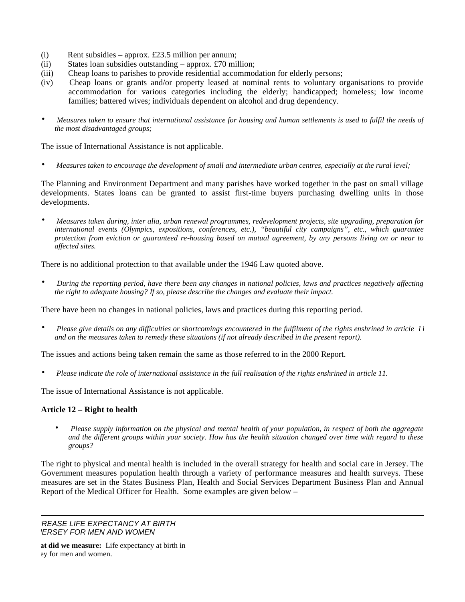- (i) Rent subsidies approx. £23.5 million per annum;
- (ii) States loan subsidies outstanding approx. £70 million;
- (iii) Cheap loans to parishes to provide residential accommodation for elderly persons;
- (iv) Cheap loans or grants and/or property leased at nominal rents to voluntary organisations to provide accommodation for various categories including the elderly; handicapped; homeless; low income families; battered wives; individuals dependent on alcohol and drug dependency.
- *Measures taken to ensure that international assistance for housing and human settlements is used to fulfil the needs of the most disadvantaged groups;*

The issue of International Assistance is not applicable.

• *Measures taken to encourage the development of small and intermediate urban centres, especially at the rural level;*

The Planning and Environment Department and many parishes have worked together in the past on small village developments. States loans can be granted to assist first-time buyers purchasing dwelling units in those developments.

• *Measures taken during, inter alia, urban renewal programmes, redevelopment projects, site upgrading, preparation for international events (Olympics, expositions, conferences, etc.), "beautiful city campaigns", etc., which guarantee protection from eviction or guaranteed re-housing based on mutual agreement, by any persons living on or near to affected sites.*

There is no additional protection to that available under the 1946 Law quoted above.

• *During the reporting period, have there been any changes in national policies, laws and practices negatively affecting the right to adequate housing? If so, please describe the changes and evaluate their impact.*

There have been no changes in national policies, laws and practices during this reporting period.

• *Please give details on any difficulties or shortcomings encountered in the fulfilment of the rights enshrined in article 11 and on the measures taken to remedy these situations (if not already described in the present report).*

The issues and actions being taken remain the same as those referred to in the 2000 Report.

• *Please indicate the role of international assistance in the full realisation of the rights enshrined in article 11.*

The issue of International Assistance is not applicable.

# **Article 12 – Right to health**

• *Please supply information on the physical and mental health of your population, in respect of both the aggregate and the different groups within your society. How has the health situation changed over time with regard to these groups?*

The right to physical and mental health is included in the overall strategy for health and social care in Jersey. The Government measures population health through a variety of performance measures and health surveys. These measures are set in the States Business Plan, Health and Social Services Department Business Plan and Annual Report of the Medical Officer for Health. Some examples are given below –

*INCREASE LIFE EXPECTANCY AT BIRTH* **IERSEY FOR MEN AND WOMEN** 

at did we measure: Life expectancy at birth in ey for men and women.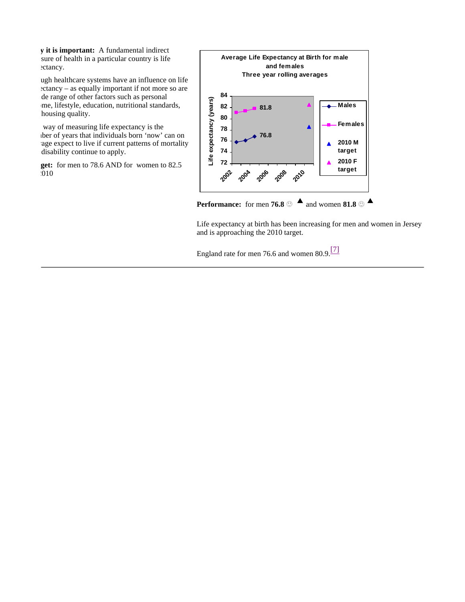**y** it is important: A fundamental indirect sure of health in a particular country is life ectancy.

ugh healthcare systems have an influence on life  $eta - as equally important if not more so are$ de range of other factors such as personal me, lifestyle, education, nutritional standards, housing quality.

way of measuring life expectancy is the lber of years that individuals born 'now' can on age expect to live if current patterns of mortality disability continue to apply.

get: for men to 78.6 AND for women to 82.5 by 2010



Life expectancy at birth has been increasing for men and women in Jersey and is approaching the 2010 target.

England rate for men 76.6 and women 80.9.<sup>[7]</sup>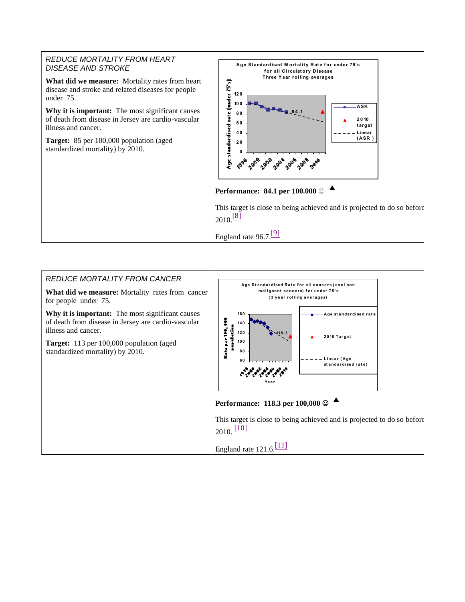## *REDUCE MORTALITY FROM HEART DISEASE AND STROKE*

**What did we measure:** Mortality rates from heart disease and stroke and related diseases for people under 75.

**Why it is important:** The most significant causes of death from disease in Jersey are cardio-vascular illness and cancer.

**Target:** 85 per 100,000 population (aged standardized mortality) by 2010.



**Performance: 84.1 per 100.000 ▲**

This target is close to being achieved and is projected to do so before  $2010 \frac{[8]}{[8]}$ 

England rate  $96.7$ .<sup>[9]</sup>

# *REDUCE MORTALITY FROM CANCER*

**What did we measure:** Mortality rates from cancer for people under 75.

**Why it is important:** The most significant causes of death from disease in Jersey are cardio-vascular illness and cancer.

**Target:** 113 per 100,000 population (aged standardized mortality) by 2010.



**Performance: 118.3 per 100,000 ▲**

This target is close to being achieved and is projected to do so before  $2010.$   $[10]$ 

England rate  $121.6$ .<sup>[11]</sup>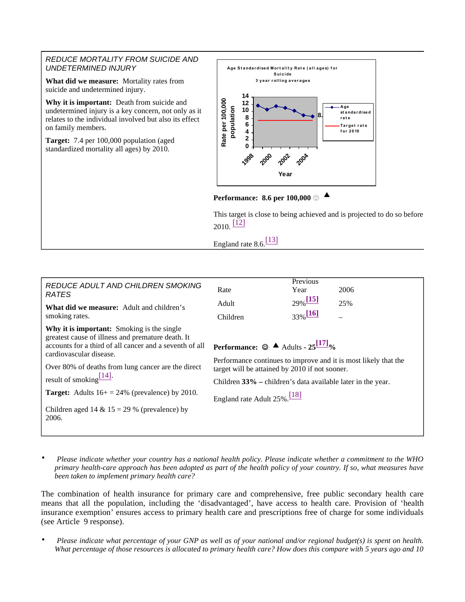## *REDUCE MORTALITY FROM SUICIDE AND UNDETERMINED INJURY*

**What did we measure:** Mortality rates from suicide and undetermined injury.

**Why it is important:** Death from suicide and undetermined injury is a key concern, not only as it relates to the individual involved but also its effect on family members.

**Target:** 7.4 per 100,000 population (aged standardized mortality all ages) by 2010.





This target is close to being achieved and is projected to do so before 2010. [12]

England rate  $8.6$ <sup>[13]</sup>

| REDUCE ADULT AND CHILDREN SMOKING<br><b>RATES</b><br><b>What did we measure:</b> Adult and children's<br>smoking rates.                                                                                                                                                                                                                                                                                   | Rate<br>Adult<br>Children                                                                                                                                                                                                                                                                         | Previous<br>Year<br>$29\%$ <sup>[15]</sup><br>$33\%$ <sup>[16]</sup> | 2006<br>25% |
|-----------------------------------------------------------------------------------------------------------------------------------------------------------------------------------------------------------------------------------------------------------------------------------------------------------------------------------------------------------------------------------------------------------|---------------------------------------------------------------------------------------------------------------------------------------------------------------------------------------------------------------------------------------------------------------------------------------------------|----------------------------------------------------------------------|-------------|
| Why it is important: Smoking is the single<br>greatest cause of illness and premature death. It<br>accounts for a third of all cancer and a seventh of all<br>cardiovascular disease.<br>Over 80% of deaths from lung cancer are the direct<br>result of smoking $\frac{114}{1}$ .<br><b>Target:</b> Adults $16+ = 24\%$ (prevalence) by 2010.<br>Children aged 14 & $15 = 29$ % (prevalence) by<br>2006. | <b>Performance:</b> $\odot$ <b>A</b> Adults - 25 <sup>[17]</sup> %<br>Performance continues to improve and it is most likely that the<br>target will be attained by 2010 if not sooner.<br>Children 33% – children's data available later in the year.<br>England rate Adult 25%. <sup>[18]</sup> |                                                                      |             |

• *Please indicate whether your country has a national health policy. Please indicate whether a commitment to the WHO primary health-care approach has been adopted as part of the health policy of your country. If so, what measures have been taken to implement primary health care?*

The combination of health insurance for primary care and comprehensive, free public secondary health care means that all the population, including the 'disadvantaged', have access to health care. Provision of 'health insurance exemption' ensures access to primary health care and prescriptions free of charge for some individuals (see Article 9 response).

• *Please indicate what percentage of your GNP as well as of your national and/or regional budget(s) is spent on health. What percentage of those resources is allocated to primary health care? How does this compare with 5 years ago and 10*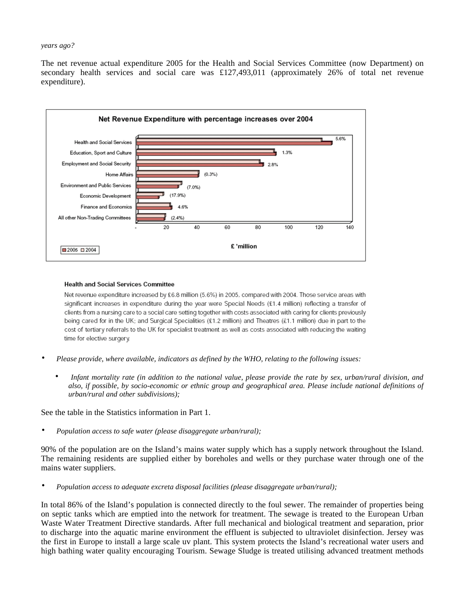#### *years ago?*

The net revenue actual expenditure 2005 for the Health and Social Services Committee (now Department) on secondary health services and social care was £127,493,011 (approximately 26% of total net revenue expenditure).



#### **Health and Social Services Committee**

Net revenue expenditure increased by £6.8 million (5.6%) in 2005, compared with 2004. Those service areas with significant increases in expenditure during the year were Special Needs (£1.4 million) reflecting a transfer of clients from a nursing care to a social care setting together with costs associated with caring for clients previously being cared for in the UK; and Surgical Specialities (£1.2 million) and Theatres (£1.1 million) due in part to the cost of tertiary referrals to the UK for specialist treatment as well as costs associated with reducing the waiting time for elective surgery.

- *Please provide, where available, indicators as defined by the WHO, relating to the following issues:*
	- *Infant mortality rate (in addition to the national value, please provide the rate by sex, urban/rural division, and also, if possible, by socio-economic or ethnic group and geographical area. Please include national definitions of urban/rural and other subdivisions);*

See the table in the Statistics information in Part 1.

• *Population access to safe water (please disaggregate urban/rural);*

90% of the population are on the Island's mains water supply which has a supply network throughout the Island. The remaining residents are supplied either by boreholes and wells or they purchase water through one of the mains water suppliers.

• *Population access to adequate excreta disposal facilities (please disaggregate urban/rural);*

In total 86% of the Island's population is connected directly to the foul sewer. The remainder of properties being on septic tanks which are emptied into the network for treatment. The sewage is treated to the European Urban Waste Water Treatment Directive standards. After full mechanical and biological treatment and separation, prior to discharge into the aquatic marine environment the effluent is subjected to ultraviolet disinfection. Jersey was the first in Europe to install a large scale uv plant. This system protects the Island's recreational water users and high bathing water quality encouraging Tourism. Sewage Sludge is treated utilising advanced treatment methods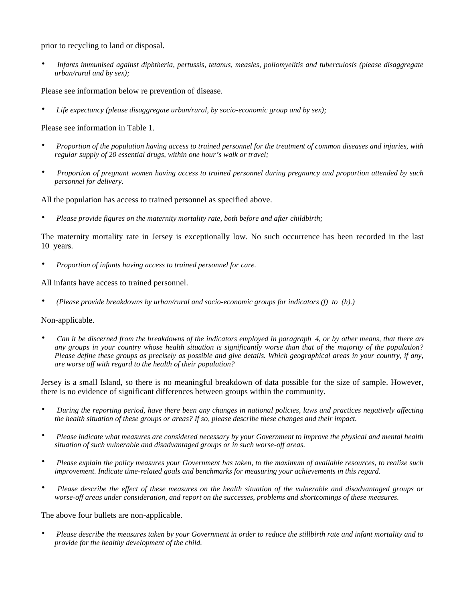prior to recycling to land or disposal.

• *Infants immunised against diphtheria, pertussis, tetanus, measles, poliomyelitis and tuberculosis (please disaggregate urban/rural and by sex);*

Please see information below re prevention of disease.

• *Life expectancy (please disaggregate urban/rural, by socio-economic group and by sex);*

Please see information in Table 1.

- *Proportion of the population having access to trained personnel for the treatment of common diseases and injuries, with regular supply of 20 essential drugs, within one hour's walk or travel;*
- *Proportion of pregnant women having access to trained personnel during pregnancy and proportion attended by such personnel for delivery.*

All the population has access to trained personnel as specified above.

• *Please provide figures on the maternity mortality rate, both before and after childbirth;*

The maternity mortality rate in Jersey is exceptionally low. No such occurrence has been recorded in the last 10 years.

• *Proportion of infants having access to trained personnel for care.*

All infants have access to trained personnel.

• *(Please provide breakdowns by urban/rural and socio-economic groups for indicators (f) to (h).)*

# Non-applicable.

• *Can it be discerned from the breakdowns of the indicators employed in paragraph 4, or by other means, that there are any groups in your country whose health situation is significantly worse than that of the majority of the population? Please define these groups as precisely as possible and give details. Which geographical areas in your country, if any, are worse off with regard to the health of their population?*

Jersey is a small Island, so there is no meaningful breakdown of data possible for the size of sample. However, there is no evidence of significant differences between groups within the community.

- *During the reporting period, have there been any changes in national policies, laws and practices negatively affecting the health situation of these groups or areas? If so, please describe these changes and their impact.*
- *Please indicate what measures are considered necessary by your Government to improve the physical and mental health situation of such vulnerable and disadvantaged groups or in such worse-off areas.*
- *Please explain the policy measures your Government has taken, to the maximum of available resources, to realize such improvement. Indicate time-related goals and benchmarks for measuring your achievements in this regard.*
- *Please describe the effect of these measures on the health situation of the vulnerable and disadvantaged groups or worse-off areas under consideration, and report on the successes, problems and shortcomings of these measures.*

The above four bullets are non-applicable.

• *Please describe the measures taken by your Government in order to reduce the stillbirth rate and infant mortality and to provide for the healthy development of the child.*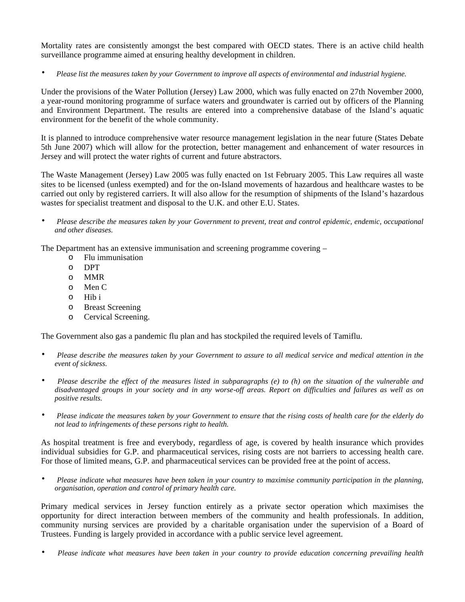Mortality rates are consistently amongst the best compared with OECD states. There is an active child health surveillance programme aimed at ensuring healthy development in children.

• *Please list the measures taken by your Government to improve all aspects of environmental and industrial hygiene.*

Under the provisions of the Water Pollution (Jersey) Law 2000, which was fully enacted on 27th November 2000, a year-round monitoring programme of surface waters and groundwater is carried out by officers of the Planning and Environment Department. The results are entered into a comprehensive database of the Island's aquatic environment for the benefit of the whole community.

It is planned to introduce comprehensive water resource management legislation in the near future (States Debate 5th June 2007) which will allow for the protection, better management and enhancement of water resources in Jersey and will protect the water rights of current and future abstractors.

The Waste Management (Jersey) Law 2005 was fully enacted on 1st February 2005. This Law requires all waste sites to be licensed (unless exempted) and for the on-Island movements of hazardous and healthcare wastes to be carried out only by registered carriers. It will also allow for the resumption of shipments of the Island's hazardous wastes for specialist treatment and disposal to the U.K. and other E.U. States.

• *Please describe the measures taken by your Government to prevent, treat and control epidemic, endemic, occupational and other diseases.*

The Department has an extensive immunisation and screening programme covering –

- o Flu immunisation
- o DPT
- o MMR
- o Men C
- o Hib i
- o Breast Screening
- o Cervical Screening.

The Government also gas a pandemic flu plan and has stockpiled the required levels of Tamiflu.

- *Please describe the measures taken by your Government to assure to all medical service and medical attention in the event of sickness.*
- *Please describe the effect of the measures listed in subparagraphs (e) to (h) on the situation of the vulnerable and disadvantaged groups in your society and in any worse-off areas. Report on difficulties and failures as well as on positive results.*
- *Please indicate the measures taken by your Government to ensure that the rising costs of health care for the elderly do not lead to infringements of these persons right to health.*

As hospital treatment is free and everybody, regardless of age, is covered by health insurance which provides individual subsidies for G.P. and pharmaceutical services, rising costs are not barriers to accessing health care. For those of limited means, G.P. and pharmaceutical services can be provided free at the point of access.

• *Please indicate what measures have been taken in your country to maximise community participation in the planning, organisation, operation and control of primary health care.*

Primary medical services in Jersey function entirely as a private sector operation which maximises the opportunity for direct interaction between members of the community and health professionals. In addition, community nursing services are provided by a charitable organisation under the supervision of a Board of Trustees. Funding is largely provided in accordance with a public service level agreement.

• *Please indicate what measures have been taken in your country to provide education concerning prevailing health*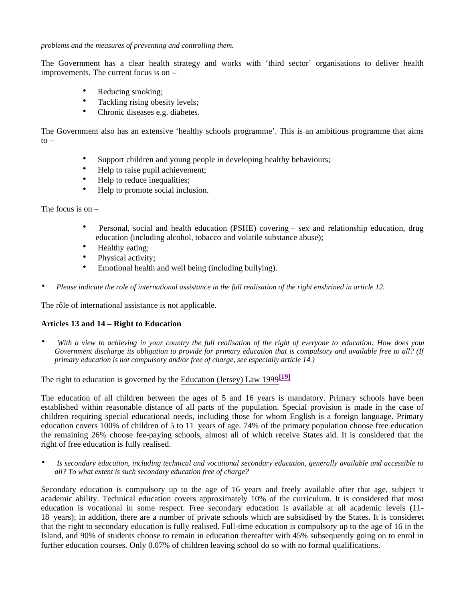*problems and the measures of preventing and controlling them.*

The Government has a clear health strategy and works with 'third sector' organisations to deliver health improvements. The current focus is on –

- Reducing smoking;
- Tackling rising obesity levels;
- Chronic diseases e.g. diabetes.

The Government also has an extensive 'healthy schools programme'. This is an ambitious programme that aims  $to -$ 

- Support children and young people in developing healthy behaviours;
- Help to raise pupil achievement;
- Help to reduce inequalities;
- Help to promote social inclusion.

The focus is on  $-$ 

- Personal, social and health education (PSHE) covering sex and relationship education, drug education (including alcohol, tobacco and volatile substance abuse);
- Healthy eating:
- Physical activity;
- Emotional health and well being (including bullying).
- *Please indicate the role of international assistance in the full realisation of the right enshrined in article 12.*

The rôle of international assistance is not applicable.

# **Articles 13 and 14 – Right to Education**

• *With a view to achieving in your country the full realisation of the right of everyone to education: How does your Government discharge its obligation to provide for primary education that is compulsory and available free to all? (If primary education is not compulsory and/or free of charge, see especially article 14.)*

The right to education is governed by the Education (Jersey) Law 1999**[19]**

The education of all children between the ages of 5 and 16 years is mandatory. Primary schools have been established within reasonable distance of all parts of the population. Special provision is made in the case of children requiring special educational needs, including those for whom English is a foreign language. Primary education covers 100% of children of 5 to 11 years of age. 74% of the primary population choose free education; the remaining 26% choose fee-paying schools, almost all of which receive States aid. It is considered that the right of free education is fully realised.

• *Is secondary education, including technical and vocational secondary education, generally available and accessible to all? To what extent is such secondary education free of charge?*

Secondary education is compulsory up to the age of 16 years and freely available after that age, subject to academic ability. Technical education covers approximately 10% of the curriculum. It is considered that most education is vocational in some respect. Free secondary education is available at all academic levels (11- 18 years); in addition, there are a number of private schools which are subsidised by the States. It is considered that the right to secondary education is fully realised. Full-time education is compulsory up to the age of 16 in the Island, and 90% of students choose to remain in education thereafter with 45% subsequently going on to enrol in further education courses. Only 0.07% of children leaving school do so with no formal qualifications.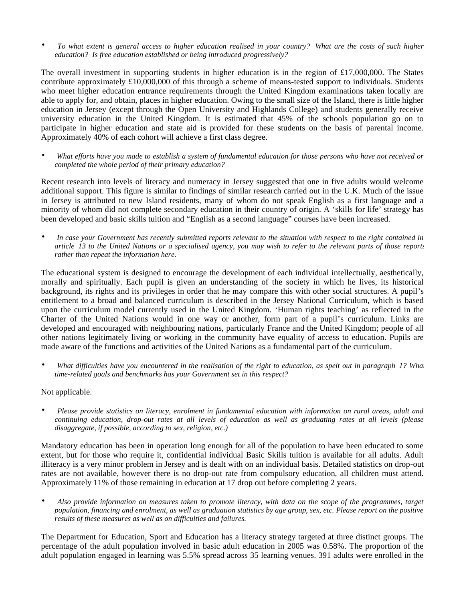• *To what extent is general access to higher education realised in your country? What are the costs of such higher education? Is free education established or being introduced progressively?*

The overall investment in supporting students in higher education is in the region of £17,000,000. The States contribute approximately £10,000,000 of this through a scheme of means-tested support to individuals. Students who meet higher education entrance requirements through the United Kingdom examinations taken locally are able to apply for, and obtain, places in higher education. Owing to the small size of the Island, there is little higher education in Jersey (except through the Open University and Highlands College) and students generally receive university education in the United Kingdom. It is estimated that 45% of the schools population go on to participate in higher education and state aid is provided for these students on the basis of parental income. Approximately 40% of each cohort will achieve a first class degree.

• *What efforts have you made to establish a system of fundamental education for those persons who have not received or completed the whole period of their primary education?*

Recent research into levels of literacy and numeracy in Jersey suggested that one in five adults would welcome additional support. This figure is similar to findings of similar research carried out in the U.K. Much of the issue in Jersey is attributed to new Island residents, many of whom do not speak English as a first language and a minority of whom did not complete secondary education in their country of origin. A 'skills for life' strategy has been developed and basic skills tuition and "English as a second language" courses have been increased.

• *In case your Government has recently submitted reports relevant to the situation with respect to the right contained in article 13 to the United Nations or a specialised agency, you may wish to refer to the relevant parts of those reports rather than repeat the information here.*

The educational system is designed to encourage the development of each individual intellectually, aesthetically, morally and spiritually. Each pupil is given an understanding of the society in which he lives, its historical background, its rights and its privileges in order that he may compare this with other social structures. A pupil's entitlement to a broad and balanced curriculum is described in the Jersey National Curriculum, which is based upon the curriculum model currently used in the United Kingdom. 'Human rights teaching' as reflected in the Charter of the United Nations would in one way or another, form part of a pupil's curriculum. Links are developed and encouraged with neighbouring nations, particularly France and the United Kingdom; people of all other nations legitimately living or working in the community have equality of access to education. Pupils are made aware of the functions and activities of the United Nations as a fundamental part of the curriculum.

What difficulties have you encountered in the realisation of the right to education, as spelt out in paragraph 1? What *time-related goals and benchmarks has your Government set in this respect?*

# Not applicable.

• *Please provide statistics on literacy, enrolment in fundamental education with information on rural areas, adult and continuing education, drop-out rates at all levels of education as well as graduating rates at all levels (please disaggregate, if possible, according to sex, religion, etc.)*

Mandatory education has been in operation long enough for all of the population to have been educated to some extent, but for those who require it, confidential individual Basic Skills tuition is available for all adults. Adult illiteracy is a very minor problem in Jersey and is dealt with on an individual basis. Detailed statistics on drop-out rates are not available, however there is no drop-out rate from compulsory education, all children must attend. Approximately 11% of those remaining in education at 17 drop out before completing 2 years.

• *Also provide information on measures taken to promote literacy, with data on the scope of the programmes, target population, financing and enrolment, as well as graduation statistics by age group, sex, etc. Please report on the positive results of these measures as well as on difficulties and failures.*

The Department for Education, Sport and Education has a literacy strategy targeted at three distinct groups. The percentage of the adult population involved in basic adult education in 2005 was 0.58%. The proportion of the adult population engaged in learning was 5.5% spread across 35 learning venues. 391 adults were enrolled in the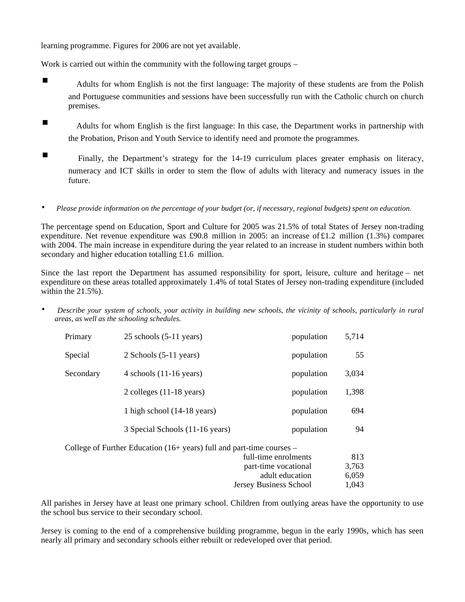learning programme. Figures for 2006 are not yet available.

Work is carried out within the community with the following target groups –

- Adults for whom English is not the first language: The majority of these students are from the Polish and Portuguese communities and sessions have been successfully run with the Catholic church on church premises.
- Adults for whom English is the first language: In this case, the Department works in partnership with the Probation, Prison and Youth Service to identify need and promote the programmes.
- Finally, the Department's strategy for the 14-19 curriculum places greater emphasis on literacy, numeracy and ICT skills in order to stem the flow of adults with literacy and numeracy issues in the future.
- *Please provide information on the percentage of your budget (or, if necessary, regional budgets) spent on education.*

The percentage spend on Education, Sport and Culture for 2005 was 21.5% of total States of Jersey non-trading expenditure. Net revenue expenditure was £90.8 million in 2005: an increase of £1.2 million (1.3%) compared with 2004. The main increase in expenditure during the year related to an increase in student numbers within both secondary and higher education totalling £1.6 million.

Since the last report the Department has assumed responsibility for sport, leisure, culture and heritage – net expenditure on these areas totalled approximately 1.4% of total States of Jersey non-trading expenditure (included within the 21.5%).

• *Describe your system of schools, your activity in building new schools, the vicinity of schools, particularly in rural areas, as well as the schooling schedules.*

| Primary   | $25$ schools $(5-11)$ years)                                                    | population           | 5,714 |
|-----------|---------------------------------------------------------------------------------|----------------------|-------|
| Special   | $2$ Schools $(5-11$ years)                                                      | population           | 55    |
| Secondary | 4 schools $(11-16 \text{ years})$                                               | population           | 3,034 |
|           | 2 colleges $(11-18 \text{ years})$                                              | population           | 1,398 |
|           | 1 high school $(14-18$ years)                                                   | population           | 694   |
|           | 3 Special Schools (11-16 years)                                                 | population           | 94    |
|           | College of Further Education $(16 + \text{years})$ full and part-time courses – |                      |       |
|           |                                                                                 | full-time enrolments | 813   |
|           |                                                                                 | part-time vocational | 3,763 |
|           |                                                                                 | adult education      | 6.059 |

All parishes in Jersey have at least one primary school. Children from outlying areas have the opportunity to use the school bus service to their secondary school.

Jersey Business School 1,043

Jersey is coming to the end of a comprehensive building programme, begun in the early 1990s, which has seen nearly all primary and secondary schools either rebuilt or redeveloped over that period.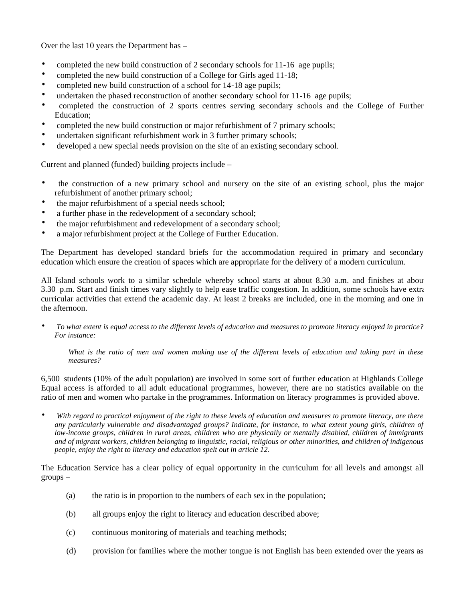Over the last 10 years the Department has –

- completed the new build construction of 2 secondary schools for 11-16 age pupils;
- completed the new build construction of a College for Girls aged 11-18;
- completed new build construction of a school for 14-18 age pupils;
- undertaken the phased reconstruction of another secondary school for 11-16 age pupils;
- completed the construction of 2 sports centres serving secondary schools and the College of Further Education;
- completed the new build construction or major refurbishment of 7 primary schools;
- undertaken significant refurbishment work in 3 further primary schools;
- developed a new special needs provision on the site of an existing secondary school.

Current and planned (funded) building projects include –

- the construction of a new primary school and nursery on the site of an existing school, plus the major refurbishment of another primary school;
- the major refurbishment of a special needs school;
- a further phase in the redevelopment of a secondary school;
- the major refurbishment and redevelopment of a secondary school;
- a major refurbishment project at the College of Further Education.

The Department has developed standard briefs for the accommodation required in primary and secondary education which ensure the creation of spaces which are appropriate for the delivery of a modern curriculum.

All Island schools work to a similar schedule whereby school starts at about 8.30 a.m. and finishes at about 3.30 p.m. Start and finish times vary slightly to help ease traffic congestion. In addition, some schools have extra curricular activities that extend the academic day. At least 2 breaks are included, one in the morning and one in the afternoon.

• *To what extent is equal access to the different levels of education and measures to promote literacy enjoyed in practice? For instance:*

*What is the ratio of men and women making use of the different levels of education and taking part in these measures?*

6,500 students (10% of the adult population) are involved in some sort of further education at Highlands College. Equal access is afforded to all adult educational programmes, however, there are no statistics available on the ratio of men and women who partake in the programmes. Information on literacy programmes is provided above.

• *With regard to practical enjoyment of the right to these levels of education and measures to promote literacy, are there any particularly vulnerable and disadvantaged groups? Indicate, for instance, to what extent young girls, children of low-income groups, children in rural areas, children who are physically or mentally disabled, children of immigrants and of migrant workers, children belonging to linguistic, racial, religious or other minorities, and children of indigenous people, enjoy the right to literacy and education spelt out in article 12.*

The Education Service has a clear policy of equal opportunity in the curriculum for all levels and amongst all groups –

- (a) the ratio is in proportion to the numbers of each sex in the population;
- (b) all groups enjoy the right to literacy and education described above;
- (c) continuous monitoring of materials and teaching methods;
- (d) provision for families where the mother tongue is not English has been extended over the years as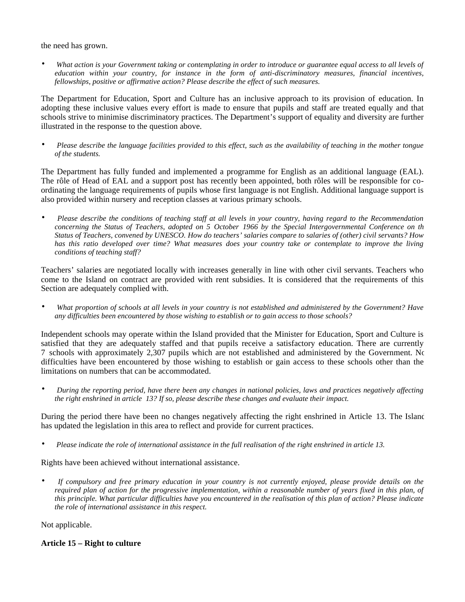the need has grown.

• *What action is your Government taking or contemplating in order to introduce or guarantee equal access to all levels of education within your country, for instance in the form of anti-discriminatory measures, financial incentives, fellowships, positive or affirmative action? Please describe the effect of such measures.*

The Department for Education, Sport and Culture has an inclusive approach to its provision of education. In adopting these inclusive values every effort is made to ensure that pupils and staff are treated equally and that schools strive to minimise discriminatory practices. The Department's support of equality and diversity are further illustrated in the response to the question above.

• *Please describe the language facilities provided to this effect, such as the availability of teaching in the mother tongue of the students.*

The Department has fully funded and implemented a programme for English as an additional language (EAL). The rôle of Head of EAL and a support post has recently been appointed, both rôles will be responsible for coordinating the language requirements of pupils whose first language is not English. Additional language support is also provided within nursery and reception classes at various primary schools.

• *Please describe the conditions of teaching staff at all levels in your country, having regard to the Recommendation concerning the Status of Teachers, adopted on 5 October 1966 by the Special Intergovernmental Conference on th Status of Teachers, convened by UNESCO. How do teachers' salaries compare to salaries of (other) civil servants? How has this ratio developed over time? What measures does your country take or contemplate to improve the living conditions of teaching staff?*

Teachers' salaries are negotiated locally with increases generally in line with other civil servants. Teachers who come to the Island on contract are provided with rent subsidies. It is considered that the requirements of this Section are adequately complied with.

• *What proportion of schools at all levels in your country is not established and administered by the Government? Have any difficulties been encountered by those wishing to establish or to gain access to those schools?*

Independent schools may operate within the Island provided that the Minister for Education, Sport and Culture is satisfied that they are adequately staffed and that pupils receive a satisfactory education. There are currently 7 schools with approximately 2,307 pupils which are not established and administered by the Government. No difficulties have been encountered by those wishing to establish or gain access to these schools other than the limitations on numbers that can be accommodated.

• *During the reporting period, have there been any changes in national policies, laws and practices negatively affecting the right enshrined in article 13? If so, please describe these changes and evaluate their impact.*

During the period there have been no changes negatively affecting the right enshrined in Article 13. The Island has updated the legislation in this area to reflect and provide for current practices.

• *Please indicate the role of international assistance in the full realisation of the right enshrined in article 13.*

Rights have been achieved without international assistance.

• *If compulsory and free primary education in your country is not currently enjoyed, please provide details on the required plan of action for the progressive implementation, within a reasonable number of years fixed in this plan, of this principle. What particular difficulties have you encountered in the realisation of this plan of action? Please indicate the role of international assistance in this respect.*

Not applicable.

# **Article 15 – Right to culture**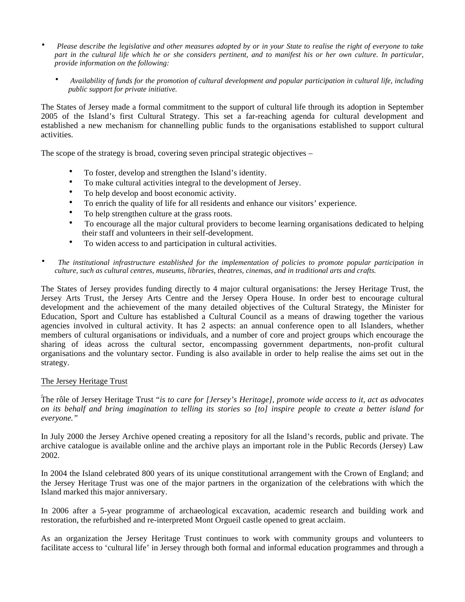- *Please describe the legislative and other measures adopted by or in your State to realise the right of everyone to take part in the cultural life which he or she considers pertinent, and to manifest his or her own culture. In particular, provide information on the following:*
	- *Availability of funds for the promotion of cultural development and popular participation in cultural life, including public support for private initiative.*

The States of Jersey made a formal commitment to the support of cultural life through its adoption in September 2005 of the Island's first Cultural Strategy. This set a far-reaching agenda for cultural development and established a new mechanism for channelling public funds to the organisations established to support cultural activities.

The scope of the strategy is broad, covering seven principal strategic objectives –

- To foster, develop and strengthen the Island's identity.
- To make cultural activities integral to the development of Jersey.
- To help develop and boost economic activity.
- To enrich the quality of life for all residents and enhance our visitors' experience.
- To help strengthen culture at the grass roots.
- To encourage all the major cultural providers to become learning organisations dedicated to helping their staff and volunteers in their self-development.
- To widen access to and participation in cultural activities.
- *The institutional infrastructure established for the implementation of policies to promote popular participation in culture, such as cultural centres, museums, libraries, theatres, cinemas, and in traditional arts and crafts.*

The States of Jersey provides funding directly to 4 major cultural organisations: the Jersey Heritage Trust, the Jersey Arts Trust, the Jersey Arts Centre and the Jersey Opera House. In order best to encourage cultural development and the achievement of the many detailed objectives of the Cultural Strategy, the Minister for Education, Sport and Culture has established a Cultural Council as a means of drawing together the various agencies involved in cultural activity. It has 2 aspects: an annual conference open to all Islanders, whether members of cultural organisations or individuals, and a number of core and project groups which encourage the sharing of ideas across the cultural sector, encompassing government departments, non-profit cultural organisations and the voluntary sector. Funding is also available in order to help realise the aims set out in the strategy.

### The Jersey Heritage Trust

The rôle of Jersey Heritage Trust "*is to care for [Jersey's Heritage], promote wide access to it, act as advocates on its behalf and bring imagination to telling its stories so [to] inspire people to create a better island for everyone."*

In July 2000 the Jersey Archive opened creating a repository for all the Island's records, public and private. The archive catalogue is available online and the archive plays an important role in the Public Records (Jersey) Law 2002.

In 2004 the Island celebrated 800 years of its unique constitutional arrangement with the Crown of England; and the Jersey Heritage Trust was one of the major partners in the organization of the celebrations with which the Island marked this major anniversary.

In 2006 after a 5-year programme of archaeological excavation, academic research and building work and restoration, the refurbished and re-interpreted Mont Orgueil castle opened to great acclaim.

As an organization the Jersey Heritage Trust continues to work with community groups and volunteers to facilitate access to 'cultural life' in Jersey through both formal and informal education programmes and through a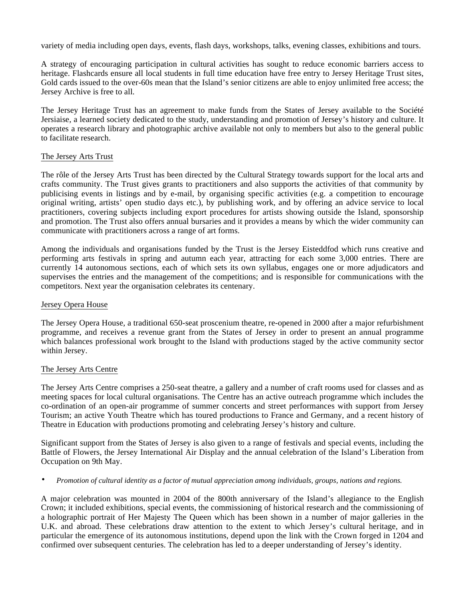variety of media including open days, events, flash days, workshops, talks, evening classes, exhibitions and tours.

A strategy of encouraging participation in cultural activities has sought to reduce economic barriers access to heritage. Flashcards ensure all local students in full time education have free entry to Jersey Heritage Trust sites, Gold cards issued to the over-60s mean that the Island's senior citizens are able to enjoy unlimited free access; the Jersey Archive is free to all.

The Jersey Heritage Trust has an agreement to make funds from the States of Jersey available to the Société Jersiaise, a learned society dedicated to the study, understanding and promotion of Jersey's history and culture. It operates a research library and photographic archive available not only to members but also to the general public to facilitate research.

## The Jersey Arts Trust

The rôle of the Jersey Arts Trust has been directed by the Cultural Strategy towards support for the local arts and crafts community. The Trust gives grants to practitioners and also supports the activities of that community by publicising events in listings and by e-mail, by organising specific activities (e.g. a competition to encourage original writing, artists' open studio days etc.), by publishing work, and by offering an advice service to local practitioners, covering subjects including export procedures for artists showing outside the Island, sponsorship and promotion. The Trust also offers annual bursaries and it provides a means by which the wider community can communicate with practitioners across a range of art forms.

Among the individuals and organisations funded by the Trust is the Jersey Eisteddfod which runs creative and performing arts festivals in spring and autumn each year, attracting for each some 3,000 entries. There are currently 14 autonomous sections, each of which sets its own syllabus, engages one or more adjudicators and supervises the entries and the management of the competitions; and is responsible for communications with the competitors. Next year the organisation celebrates its centenary.

### Jersey Opera House

The Jersey Opera House, a traditional 650-seat proscenium theatre, re-opened in 2000 after a major refurbishment programme, and receives a revenue grant from the States of Jersey in order to present an annual programme which balances professional work brought to the Island with productions staged by the active community sector within Jersey.

### The Jersey Arts Centre

The Jersey Arts Centre comprises a 250-seat theatre, a gallery and a number of craft rooms used for classes and as meeting spaces for local cultural organisations. The Centre has an active outreach programme which includes the co-ordination of an open-air programme of summer concerts and street performances with support from Jersey Tourism; an active Youth Theatre which has toured productions to France and Germany, and a recent history of Theatre in Education with productions promoting and celebrating Jersey's history and culture.

Significant support from the States of Jersey is also given to a range of festivals and special events, including the Battle of Flowers, the Jersey International Air Display and the annual celebration of the Island's Liberation from Occupation on 9th May.

### • *Promotion of cultural identity as a factor of mutual appreciation among individuals, groups, nations and regions.*

A major celebration was mounted in 2004 of the 800th anniversary of the Island's allegiance to the English Crown; it included exhibitions, special events, the commissioning of historical research and the commissioning of a holographic portrait of Her Majesty The Queen which has been shown in a number of major galleries in the U.K. and abroad. These celebrations draw attention to the extent to which Jersey's cultural heritage, and in particular the emergence of its autonomous institutions, depend upon the link with the Crown forged in 1204 and confirmed over subsequent centuries. The celebration has led to a deeper understanding of Jersey's identity.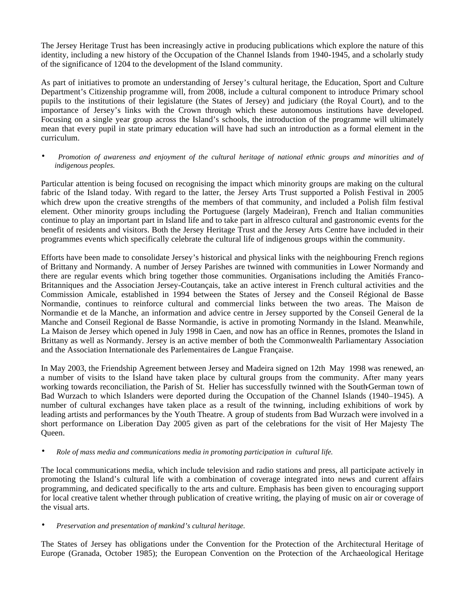The Jersey Heritage Trust has been increasingly active in producing publications which explore the nature of this identity, including a new history of the Occupation of the Channel Islands from 1940-1945, and a scholarly study of the significance of 1204 to the development of the Island community.

As part of initiatives to promote an understanding of Jersey's cultural heritage, the Education, Sport and Culture Department's Citizenship programme will, from 2008, include a cultural component to introduce Primary school pupils to the institutions of their legislature (the States of Jersey) and judiciary (the Royal Court), and to the importance of Jersey's links with the Crown through which these autonomous institutions have developed. Focusing on a single year group across the Island's schools, the introduction of the programme will ultimately mean that every pupil in state primary education will have had such an introduction as a formal element in the curriculum.

• *Promotion of awareness and enjoyment of the cultural heritage of national ethnic groups and minorities and of indigenous peoples.*

Particular attention is being focused on recognising the impact which minority groups are making on the cultural fabric of the Island today. With regard to the latter, the Jersey Arts Trust supported a Polish Festival in 2005 which drew upon the creative strengths of the members of that community, and included a Polish film festival element. Other minority groups including the Portuguese (largely Madeiran), French and Italian communities continue to play an important part in Island life and to take part in alfresco cultural and gastronomic events for the benefit of residents and visitors. Both the Jersey Heritage Trust and the Jersey Arts Centre have included in their programmes events which specifically celebrate the cultural life of indigenous groups within the community.

Efforts have been made to consolidate Jersey's historical and physical links with the neighbouring French regions of Brittany and Normandy. A number of Jersey Parishes are twinned with communities in Lower Normandy and there are regular events which bring together those communities. Organisations including the Amitiés Franco-Britanniques and the Association Jersey-Coutançais, take an active interest in French cultural activities and the Commission Amicale, established in 1994 between the States of Jersey and the Conseil Régional de Basse Normandie, continues to reinforce cultural and commercial links between the two areas. The Maison de Normandie et de la Manche, an information and advice centre in Jersey supported by the Conseil General de la Manche and Conseil Regional de Basse Normandie, is active in promoting Normandy in the Island. Meanwhile, La Maison de Jersey which opened in July 1998 in Caen, and now has an office in Rennes, promotes the Island in Brittany as well as Normandy. Jersey is an active member of both the Commonwealth Parliamentary Association and the Association Internationale des Parlementaires de Langue Française.

In May 2003, the Friendship Agreement between Jersey and Madeira signed on 12th May 1998 was renewed, and a number of visits to the Island have taken place by cultural groups from the community. After many years working towards reconciliation, the Parish of St. Helier has successfully twinned with the South-German town of Bad Wurzach to which Islanders were deported during the Occupation of the Channel Islands (1940–1945). A number of cultural exchanges have taken place as a result of the twinning, including exhibitions of work by leading artists and performances by the Youth Theatre. A group of students from Bad Wurzach were involved in a short performance on Liberation Day 2005 given as part of the celebrations for the visit of Her Majesty The Queen.

## • *Role of mass media and communications media in promoting participation in cultural life.*

The local communications media, which include television and radio stations and press, all participate actively in promoting the Island's cultural life with a combination of coverage integrated into news and current affairs programming, and dedicated specifically to the arts and culture. Emphasis has been given to encouraging support for local creative talent whether through publication of creative writing, the playing of music on air or coverage of the visual arts.

• *Preservation and presentation of mankind's cultural heritage.*

The States of Jersey has obligations under the Convention for the Protection of the Architectural Heritage of Europe (Granada, October 1985); the European Convention on the Protection of the Archaeological Heritage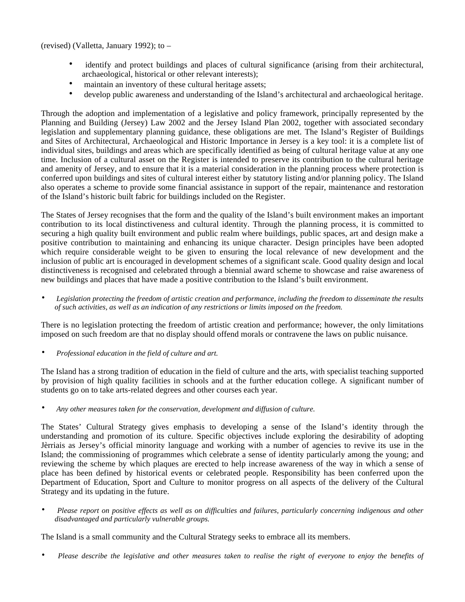(revised) (Valletta, January 1992); to –

- identify and protect buildings and places of cultural significance (arising from their architectural, archaeological, historical or other relevant interests);
- maintain an inventory of these cultural heritage assets;
- develop public awareness and understanding of the Island's architectural and archaeological heritage.

Through the adoption and implementation of a legislative and policy framework, principally represented by the Planning and Building (Jersey) Law 2002 and the Jersey Island Plan 2002, together with associated secondary legislation and supplementary planning guidance, these obligations are met. The Island's Register of Buildings and Sites of Architectural, Archaeological and Historic Importance in Jersey is a key tool: it is a complete list of individual sites, buildings and areas which are specifically identified as being of cultural heritage value at any one time. Inclusion of a cultural asset on the Register is intended to preserve its contribution to the cultural heritage and amenity of Jersey, and to ensure that it is a material consideration in the planning process where protection is conferred upon buildings and sites of cultural interest either by statutory listing and/or planning policy. The Island also operates a scheme to provide some financial assistance in support of the repair, maintenance and restoration of the Island's historic built fabric for buildings included on the Register.

The States of Jersey recognises that the form and the quality of the Island's built environment makes an important contribution to its local distinctiveness and cultural identity. Through the planning process, it is committed to securing a high quality built environment and public realm where buildings, public spaces, art and design make a positive contribution to maintaining and enhancing its unique character. Design principles have been adopted which require considerable weight to be given to ensuring the local relevance of new development and the inclusion of public art is encouraged in development schemes of a significant scale. Good quality design and local distinctiveness is recognised and celebrated through a biennial award scheme to showcase and raise awareness of new buildings and places that have made a positive contribution to the Island's built environment.

• *Legislation protecting the freedom of artistic creation and performance, including the freedom to disseminate the results of such activities, as well as an indication of any restrictions or limits imposed on the freedom.*

There is no legislation protecting the freedom of artistic creation and performance; however, the only limitations imposed on such freedom are that no display should offend morals or contravene the laws on public nuisance.

• *Professional education in the field of culture and art.*

The Island has a strong tradition of education in the field of culture and the arts, with specialist teaching supported by provision of high quality facilities in schools and at the further education college. A significant number of students go on to take arts-related degrees and other courses each year.

• *Any other measures taken for the conservation, development and diffusion of culture.*

The States' Cultural Strategy gives emphasis to developing a sense of the Island's identity through the understanding and promotion of its culture. Specific objectives include exploring the desirability of adopting Jèrriais as Jersey's official minority language and working with a number of agencies to revive its use in the Island; the commissioning of programmes which celebrate a sense of identity particularly among the young; and reviewing the scheme by which plaques are erected to help increase awareness of the way in which a sense of place has been defined by historical events or celebrated people. Responsibility has been conferred upon the Department of Education, Sport and Culture to monitor progress on all aspects of the delivery of the Cultural Strategy and its updating in the future.

• *Please report on positive effects as well as on difficulties and failures, particularly concerning indigenous and other disadvantaged and particularly vulnerable groups.*

The Island is a small community and the Cultural Strategy seeks to embrace all its members.

• *Please describe the legislative and other measures taken to realise the right of everyone to enjoy the benefits of*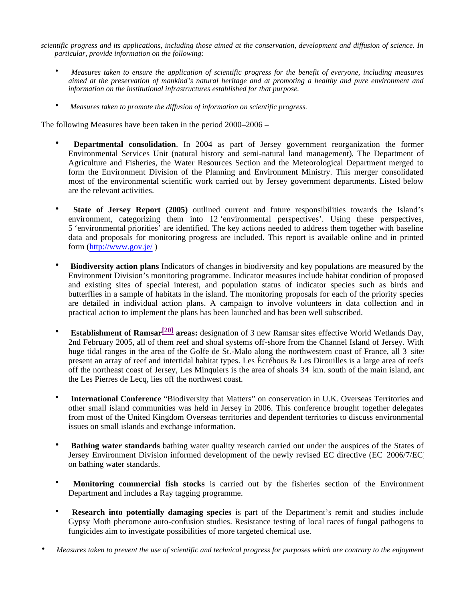*scientific progress and its applications, including those aimed at the conservation, development and diffusion of science. In particular, provide information on the following:*

- *Measures taken to ensure the application of scientific progress for the benefit of everyone, including measures aimed at the preservation of mankind's natural heritage and at promoting a healthy and pure environment and information on the institutional infrastructures established for that purpose.*
- *Measures taken to promote the diffusion of information on scientific progress.*

The following Measures have been taken in the period 2000–2006 –

- **Departmental consolidation**. In 2004 as part of Jersey government reorganization the former Environmental Services Unit (natural history and semi-natural land management), The Department of Agriculture and Fisheries, the Water Resources Section and the Meteorological Department merged to form the Environment Division of the Planning and Environment Ministry. This merger consolidated most of the environmental scientific work carried out by Jersey government departments. Listed below are the relevant activities.
- **State of Jersey Report (2005)** outlined current and future responsibilities towards the Island's environment, categorizing them into 12 'environmental perspectives'. Using these perspectives, 5 'environmental priorities' are identified. The key actions needed to address them together with baseline data and proposals for monitoring progress are included. This report is available online and in printed form (<http://www.gov.je/>)
- **Biodiversity action plans** Indicators of changes in biodiversity and key populations are measured by the Environment Division's monitoring programme. Indicator measures include habitat condition of proposed and existing sites of special interest, and population status of indicator species such as birds and butterflies in a sample of habitats in the island. The monitoring proposals for each of the priority species are detailed in individual action plans. A campaign to involve volunteers in data collection and in practical action to implement the plans has been launched and has been well subscribed.
- **Establishment of Ramsar[20] areas:** designation of 3 new Ramsar sites effective World Wetlands Day, 2nd February 2005, all of them reef and shoal systems off-shore from the Channel Island of Jersey. With huge tidal ranges in the area of the Golfe de St.-Malo along the northwestern coast of France, all 3 sites present an array of reef and intertidal habitat types. Les Écréhous & Les Dirouilles is a large area of reefs off the northeast coast of Jersey, Les Minquiers is the area of shoals 34 km. south of the main island, and the Les Pierres de Lecq, lies off the northwest coast.
- **International Conference** "Biodiversity that Matters" on conservation in U.K. Overseas Territories and other small island communities was held in Jersey in 2006. This conference brought together delegates from most of the United Kingdom Overseas territories and dependent territories to discuss environmental issues on small islands and exchange information.
- **Bathing water standards** bathing water quality research carried out under the auspices of the States of Jersey Environment Division informed development of the newly revised EC directive (EC 2006/7/EC) on bathing water standards.
- **Monitoring commercial fish stocks** is carried out by the fisheries section of the Environment Department and includes a Ray tagging programme.
- **Research into potentially damaging species** is part of the Department's remit and studies include Gypsy Moth pheromone auto-confusion studies. Resistance testing of local races of fungal pathogens to fungicides aim to investigate possibilities of more targeted chemical use.
- *Measures taken to prevent the use of scientific and technical progress for purposes which are contrary to the enjoyment*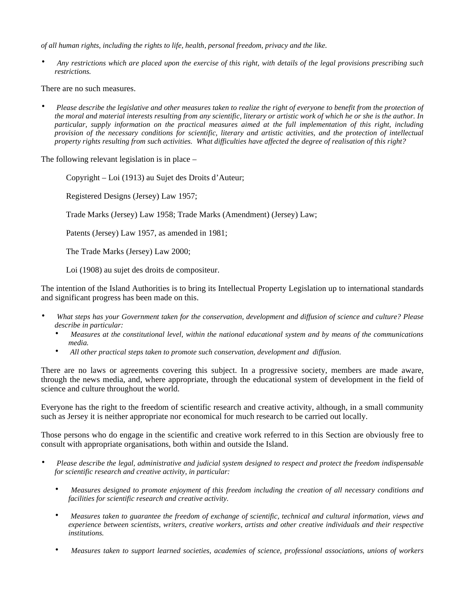*of all human rights, including the rights to life, health, personal freedom, privacy and the like.*

• *Any restrictions which are placed upon the exercise of this right, with details of the legal provisions prescribing such restrictions.*

There are no such measures.

• *Please describe the legislative and other measures taken to realize the right of everyone to benefit from the protection of the moral and material interests resulting from any scientific, literary or artistic work of which he or she is the author. In particular, supply information on the practical measures aimed at the full implementation of this right, including provision of the necessary conditions for scientific, literary and artistic activities, and the protection of intellectual property rights resulting from such activities. What difficulties have affected the degree of realisation of this right?*

The following relevant legislation is in place –

Copyright – Loi (1913) au Sujet des Droits d'Auteur;

Registered Designs (Jersey) Law 1957;

Trade Marks (Jersey) Law 1958; Trade Marks (Amendment) (Jersey) Law;

Patents (Jersey) Law 1957, as amended in 1981;

The Trade Marks (Jersey) Law 2000;

Loi (1908) au sujet des droits de compositeur.

The intention of the Island Authorities is to bring its Intellectual Property Legislation up to international standards and significant progress has been made on this.

- *What steps has your Government taken for the conservation, development and diffusion of science and culture? Please describe in particular:*
	- *Measures at the constitutional level, within the national educational system and by means of the communications media.*
	- *All other practical steps taken to promote such conservation, development and diffusion.*

There are no laws or agreements covering this subject. In a progressive society, members are made aware, through the news media, and, where appropriate, through the educational system of development in the field of science and culture throughout the world.

Everyone has the right to the freedom of scientific research and creative activity, although, in a small community such as Jersey it is neither appropriate nor economical for much research to be carried out locally.

Those persons who do engage in the scientific and creative work referred to in this Section are obviously free to consult with appropriate organisations, both within and outside the Island.

- *Please describe the legal, administrative and judicial system designed to respect and protect the freedom indispensable for scientific research and creative activity, in particular:*
	- *Measures designed to promote enjoyment of this freedom including the creation of all necessary conditions and facilities for scientific research and creative activity.*
	- *Measures taken to guarantee the freedom of exchange of scientific, technical and cultural information, views and experience between scientists, writers, creative workers, artists and other creative individuals and their respective institutions.*
	- *Measures taken to support learned societies, academies of science, professional associations, unions of workers*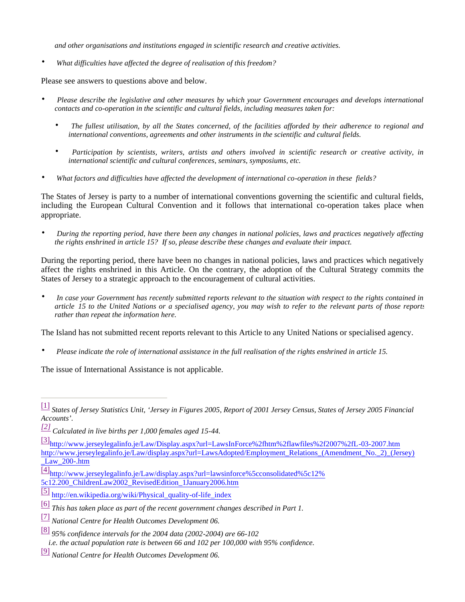*and other organisations and institutions engaged in scientific research and creative activities.*

• *What difficulties have affected the degree of realisation of this freedom?*

Please see answers to questions above and below.

- *Please describe the legislative and other measures by which your Government encourages and develops international contacts and co-operation in the scientific and cultural fields, including measures taken for:*
	- *The fullest utilisation, by all the States concerned, of the facilities afforded by their adherence to regional and international conventions, agreements and other instruments in the scientific and cultural fields.*
	- *Participation by scientists, writers, artists and others involved in scientific research or creative activity, in international scientific and cultural conferences, seminars, symposiums, etc.*
- *What factors and difficulties have affected the development of international co-operation in these fields?*

The States of Jersey is party to a number of international conventions governing the scientific and cultural fields, including the European Cultural Convention and it follows that international co-operation takes place when appropriate.

• *During the reporting period, have there been any changes in national policies, laws and practices negatively affecting the rights enshrined in article 15? If so, please describe these changes and evaluate their impact.*

During the reporting period, there have been no changes in national policies, laws and practices which negatively affect the rights enshrined in this Article. On the contrary, the adoption of the Cultural Strategy commits the States of Jersey to a strategic approach to the encouragement of cultural activities.

• *In case your Government has recently submitted reports relevant to the situation with respect to the rights contained in article 15 to the United Nations or a specialised agency, you may wish to refer to the relevant parts of those reports rather than repeat the information here.*

The Island has not submitted recent reports relevant to this Article to any United Nations or specialised agency.

• *Please indicate the role of international assistance in the full realisation of the rights enshrined in article 15.*

The issue of International Assistance is not applicable.

[3][http://www.jerseylegalinfo.je/Law/Display.aspx?](http://www.jerseylegalinfo.je/Law/Display.aspx)url=LawsInForce%2fhtm%2flawfiles%2f2007%2fL-03-2007.htm <http://www.jerseylegalinfo.je/Law/display.aspx>?url=LawsAdopted/Employment\_Relations\_(Amendment\_No.\_2)\_(Jersey) \_Law\_200-.htm

- [4][http://www.jerseylegalinfo.je/Law/display.aspx?](http://www.jerseylegalinfo.je/Law/display.aspx)url=lawsinforce%5cconsolidated%5c12% 5c12.200\_ChildrenLaw2002\_RevisedEdition\_1January2006.htm
- [5] [http://en.wikipedia.org/wiki/Physical\\_quality-of-life\\_index](http://en.wikipedia.org/wiki/Physical_quality-of-life_index)
- [6] *This has taken place as part of the recent government changes described in Part 1.*
- [7] *National Centre for Health Outcomes Development 06.*
- [8] *95% confidence intervals for the 2004 data (2002-2004) are 66-102 i.e. the actual population rate is between 66 and 102 per 100,000 with 95% confidence.*
- [9] *National Centre for Health Outcomes Development 06.*

<sup>[1]</sup> *States of Jersey Statistics Unit, 'Jersey in Figures 2005, Report of 2001 Jersey Census, States of Jersey 2005 Financial Accounts'.*

*<sup>[2]</sup> Calculated in live births per 1,000 females aged 15-44.*